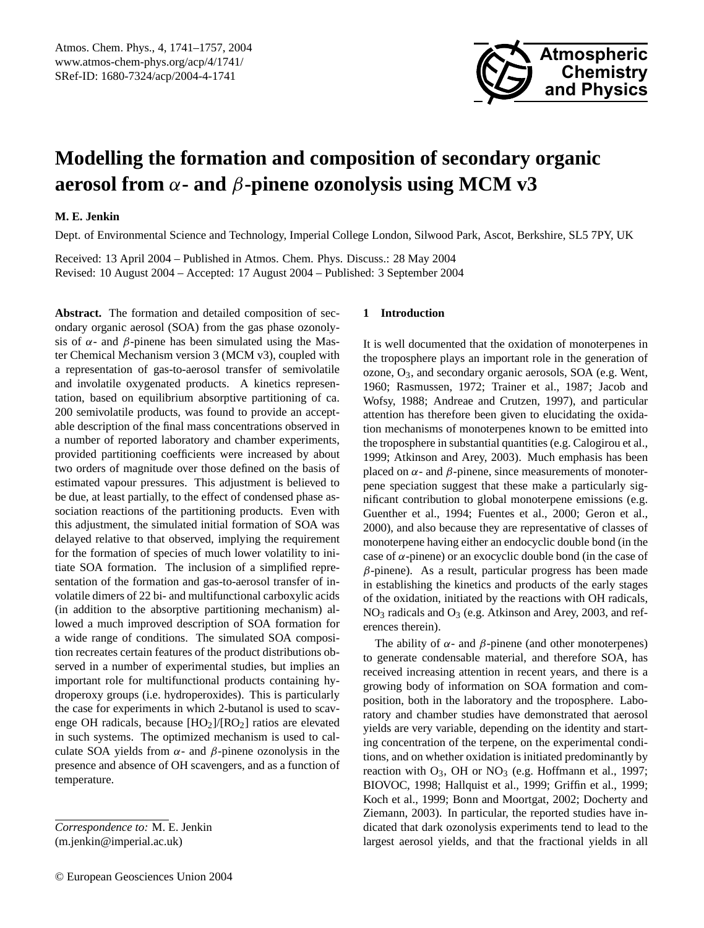

# **Modelling the formation and composition of secondary organic aerosol from** α**- and** β**-pinene ozonolysis using MCM v3**

## **M. E. Jenkin**

Dept. of Environmental Science and Technology, Imperial College London, Silwood Park, Ascot, Berkshire, SL5 7PY, UK

Received: 13 April 2004 – Published in Atmos. Chem. Phys. Discuss.: 28 May 2004 Revised: 10 August 2004 – Accepted: 17 August 2004 – Published: 3 September 2004

**Abstract.** The formation and detailed composition of secondary organic aerosol (SOA) from the gas phase ozonolysis of  $\alpha$ - and  $\beta$ -pinene has been simulated using the Master Chemical Mechanism version 3 (MCM v3), coupled with a representation of gas-to-aerosol transfer of semivolatile and involatile oxygenated products. A kinetics representation, based on equilibrium absorptive partitioning of ca. 200 semivolatile products, was found to provide an acceptable description of the final mass concentrations observed in a number of reported laboratory and chamber experiments, provided partitioning coefficients were increased by about two orders of magnitude over those defined on the basis of estimated vapour pressures. This adjustment is believed to be due, at least partially, to the effect of condensed phase association reactions of the partitioning products. Even with this adjustment, the simulated initial formation of SOA was delayed relative to that observed, implying the requirement for the formation of species of much lower volatility to initiate SOA formation. The inclusion of a simplified representation of the formation and gas-to-aerosol transfer of involatile dimers of 22 bi- and multifunctional carboxylic acids (in addition to the absorptive partitioning mechanism) allowed a much improved description of SOA formation for a wide range of conditions. The simulated SOA composition recreates certain features of the product distributions observed in a number of experimental studies, but implies an important role for multifunctional products containing hydroperoxy groups (i.e. hydroperoxides). This is particularly the case for experiments in which 2-butanol is used to scavenge OH radicals, because  $[HO_2]/[RO_2]$  ratios are elevated in such systems. The optimized mechanism is used to calculate SOA yields from  $\alpha$ - and  $\beta$ -pinene ozonolysis in the presence and absence of OH scavengers, and as a function of temperature.

*Correspondence to:* M. E. Jenkin (m.jenkin@imperial.ac.uk)

## **1 Introduction**

It is well documented that the oxidation of monoterpenes in the troposphere plays an important role in the generation of ozone, O3, and secondary organic aerosols, SOA (e.g. Went, 1960; Rasmussen, 1972; Trainer et al., 1987; Jacob and Wofsy, 1988; Andreae and Crutzen, 1997), and particular attention has therefore been given to elucidating the oxidation mechanisms of monoterpenes known to be emitted into the troposphere in substantial quantities (e.g. Calogirou et al., 1999; Atkinson and Arey, 2003). Much emphasis has been placed on  $\alpha$ - and  $\beta$ -pinene, since measurements of monoterpene speciation suggest that these make a particularly significant contribution to global monoterpene emissions (e.g. Guenther et al., 1994; Fuentes et al., 2000; Geron et al., 2000), and also because they are representative of classes of monoterpene having either an endocyclic double bond (in the case of  $\alpha$ -pinene) or an exocyclic double bond (in the case of  $\beta$ -pinene). As a result, particular progress has been made in establishing the kinetics and products of the early stages of the oxidation, initiated by the reactions with OH radicals, NO<sub>3</sub> radicals and O<sub>3</sub> (e.g. Atkinson and Arey, 2003, and references therein).

The ability of  $\alpha$ - and  $\beta$ -pinene (and other monoterpenes) to generate condensable material, and therefore SOA, has received increasing attention in recent years, and there is a growing body of information on SOA formation and composition, both in the laboratory and the troposphere. Laboratory and chamber studies have demonstrated that aerosol yields are very variable, depending on the identity and starting concentration of the terpene, on the experimental conditions, and on whether oxidation is initiated predominantly by reaction with  $O_3$ , OH or  $NO_3$  (e.g. Hoffmann et al., 1997; BIOVOC, 1998; Hallquist et al., 1999; Griffin et al., 1999; Koch et al., 1999; Bonn and Moortgat, 2002; Docherty and Ziemann, 2003). In particular, the reported studies have indicated that dark ozonolysis experiments tend to lead to the largest aerosol yields, and that the fractional yields in all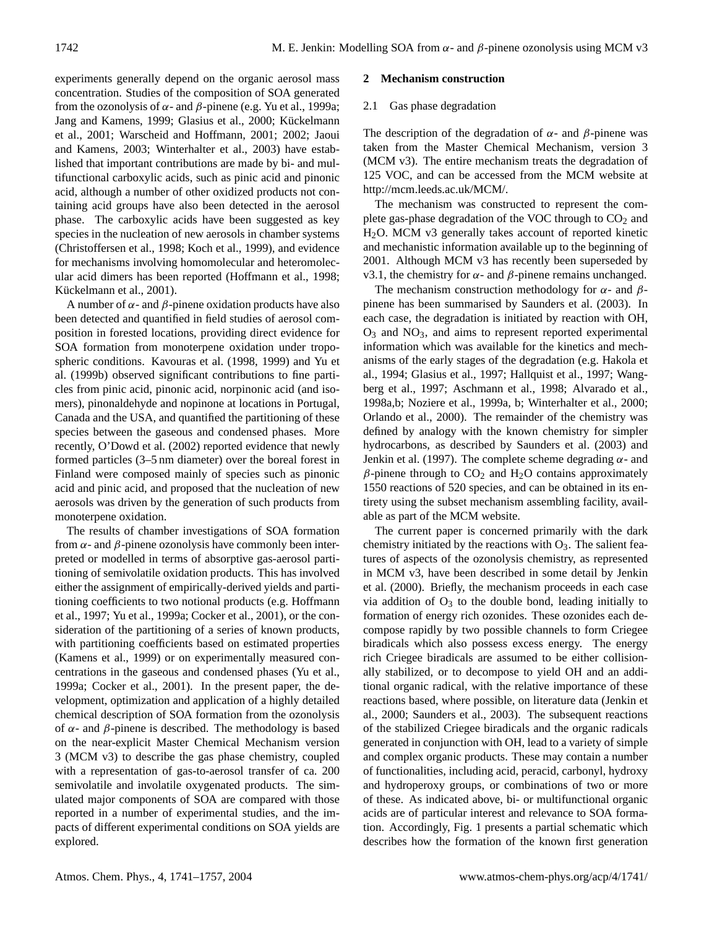experiments generally depend on the organic aerosol mass concentration. Studies of the composition of SOA generated from the ozonolysis of  $\alpha$ - and  $\beta$ -pinene (e.g. Yu et al., 1999a; Jang and Kamens, 1999; Glasius et al., 2000; Kückelmann et al., 2001; Warscheid and Hoffmann, 2001; 2002; Jaoui and Kamens, 2003; Winterhalter et al., 2003) have established that important contributions are made by bi- and multifunctional carboxylic acids, such as pinic acid and pinonic acid, although a number of other oxidized products not containing acid groups have also been detected in the aerosol phase. The carboxylic acids have been suggested as key species in the nucleation of new aerosols in chamber systems (Christoffersen et al., 1998; Koch et al., 1999), and evidence for mechanisms involving homomolecular and heteromolecular acid dimers has been reported (Hoffmann et al., 1998; Kückelmann et al., 2001).

A number of  $\alpha$ - and  $\beta$ -pinene oxidation products have also been detected and quantified in field studies of aerosol composition in forested locations, providing direct evidence for SOA formation from monoterpene oxidation under tropospheric conditions. Kavouras et al. (1998, 1999) and Yu et al. (1999b) observed significant contributions to fine particles from pinic acid, pinonic acid, norpinonic acid (and isomers), pinonaldehyde and nopinone at locations in Portugal, Canada and the USA, and quantified the partitioning of these species between the gaseous and condensed phases. More recently, O'Dowd et al. (2002) reported evidence that newly formed particles (3–5 nm diameter) over the boreal forest in Finland were composed mainly of species such as pinonic acid and pinic acid, and proposed that the nucleation of new aerosols was driven by the generation of such products from monoterpene oxidation.

The results of chamber investigations of SOA formation from  $\alpha$ - and  $\beta$ -pinene ozonolysis have commonly been interpreted or modelled in terms of absorptive gas-aerosol partitioning of semivolatile oxidation products. This has involved either the assignment of empirically-derived yields and partitioning coefficients to two notional products (e.g. Hoffmann et al., 1997; Yu et al., 1999a; Cocker et al., 2001), or the consideration of the partitioning of a series of known products, with partitioning coefficients based on estimated properties (Kamens et al., 1999) or on experimentally measured concentrations in the gaseous and condensed phases (Yu et al., 1999a; Cocker et al., 2001). In the present paper, the development, optimization and application of a highly detailed chemical description of SOA formation from the ozonolysis of α- and β-pinene is described. The methodology is based on the near-explicit Master Chemical Mechanism version 3 (MCM v3) to describe the gas phase chemistry, coupled with a representation of gas-to-aerosol transfer of ca. 200 semivolatile and involatile oxygenated products. The simulated major components of SOA are compared with those reported in a number of experimental studies, and the impacts of different experimental conditions on SOA yields are explored.

## **2 Mechanism construction**

#### 2.1 Gas phase degradation

The description of the degradation of  $\alpha$ - and  $\beta$ -pinene was taken from the Master Chemical Mechanism, version 3 (MCM v3). The entire mechanism treats the degradation of 125 VOC, and can be accessed from the MCM website at http://mcm.leeds.ac.uk/MCM/.

The mechanism was constructed to represent the complete gas-phase degradation of the VOC through to  $CO<sub>2</sub>$  and H2O. MCM v3 generally takes account of reported kinetic and mechanistic information available up to the beginning of 2001. Although MCM v3 has recently been superseded by v3.1, the chemistry for  $\alpha$ - and  $\beta$ -pinene remains unchanged.

The mechanism construction methodology for  $\alpha$ - and  $\beta$ pinene has been summarised by Saunders et al. (2003). In each case, the degradation is initiated by reaction with OH,  $O_3$  and  $NO_3$ , and aims to represent reported experimental information which was available for the kinetics and mechanisms of the early stages of the degradation (e.g. Hakola et al., 1994; Glasius et al., 1997; Hallquist et al., 1997; Wangberg et al., 1997; Aschmann et al., 1998; Alvarado et al., 1998a,b; Noziere et al., 1999a, b; Winterhalter et al., 2000; Orlando et al., 2000). The remainder of the chemistry was defined by analogy with the known chemistry for simpler hydrocarbons, as described by Saunders et al. (2003) and Jenkin et al. (1997). The complete scheme degrading  $\alpha$ - and β-pinene through to  $CO_2$  and H<sub>2</sub>O contains approximately 1550 reactions of 520 species, and can be obtained in its entirety using the subset mechanism assembling facility, available as part of the MCM website.

The current paper is concerned primarily with the dark chemistry initiated by the reactions with  $O_3$ . The salient features of aspects of the ozonolysis chemistry, as represented in MCM v3, have been described in some detail by Jenkin et al. (2000). Briefly, the mechanism proceeds in each case via addition of  $O_3$  to the double bond, leading initially to formation of energy rich ozonides. These ozonides each decompose rapidly by two possible channels to form Criegee biradicals which also possess excess energy. The energy rich Criegee biradicals are assumed to be either collisionally stabilized, or to decompose to yield OH and an additional organic radical, with the relative importance of these reactions based, where possible, on literature data (Jenkin et al., 2000; Saunders et al., 2003). The subsequent reactions of the stabilized Criegee biradicals and the organic radicals generated in conjunction with OH, lead to a variety of simple and complex organic products. These may contain a number of functionalities, including acid, peracid, carbonyl, hydroxy and hydroperoxy groups, or combinations of two or more of these. As indicated above, bi- or multifunctional organic acids are of particular interest and relevance to SOA formation. Accordingly, Fig. 1 presents a partial schematic which describes how the formation of the known first generation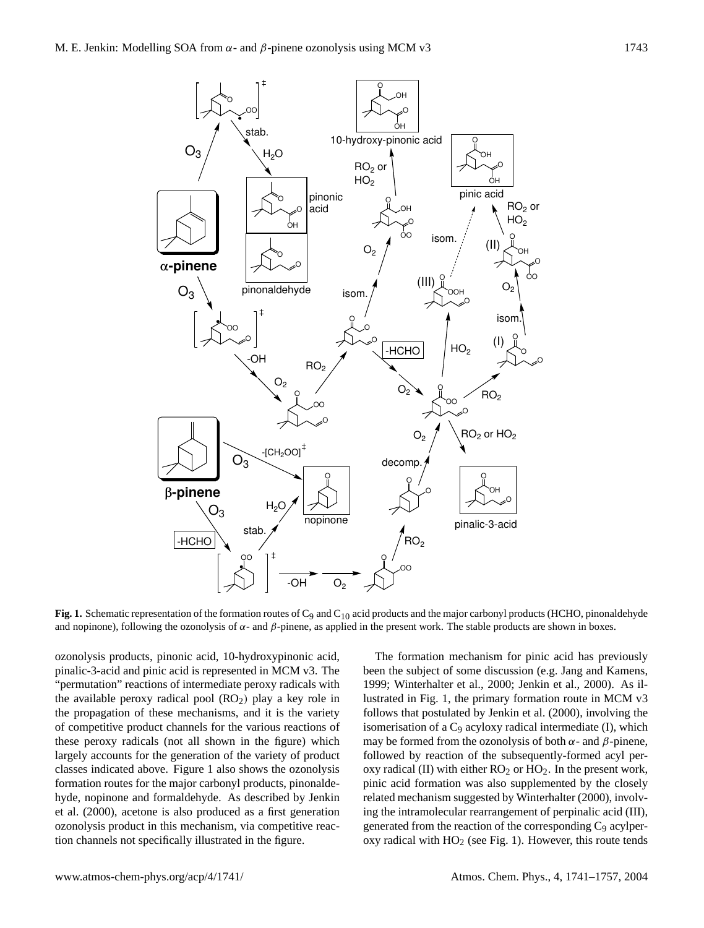

**Fig. 1.** Schematic representation of the formation routes of C<sub>9</sub> and C<sub>10</sub> acid products and the major carbonyl products (HCHO, pinonaldehyde and nopinone), following the ozonolysis of  $\alpha$ - and  $\beta$ -pinene, as applied in the present work. The stable products are shown in boxes.

ozonolysis products, pinonic acid, 10-hydroxypinonic acid, pinalic-3-acid and pinic acid is represented in MCM v3. The "permutation" reactions of intermediate peroxy radicals with the available peroxy radical pool  $(RO<sub>2</sub>)$  play a key role in the propagation of these mechanisms, and it is the variety of competitive product channels for the various reactions of these peroxy radicals (not all shown in the figure) which largely accounts for the generation of the variety of product classes indicated above. Figure 1 also shows the ozonolysis formation routes for the major carbonyl products, pinonaldehyde, nopinone and formaldehyde. As described by Jenkin et al. (2000), acetone is also produced as a first generation ozonolysis product in this mechanism, via competitive reaction channels not specifically illustrated in the figure.

The formation mechanism for pinic acid has previously been the subject of some discussion (e.g. Jang and Kamens, 1999; Winterhalter et al., 2000; Jenkin et al., 2000). As illustrated in Fig. 1, the primary formation route in MCM v3 follows that postulated by Jenkin et al. (2000), involving the isomerisation of a  $C_9$  acyloxy radical intermediate (I), which may be formed from the ozonolysis of both  $\alpha$ - and  $\beta$ -pinene, followed by reaction of the subsequently-formed acyl peroxy radical (II) with either  $RO<sub>2</sub>$  or  $HO<sub>2</sub>$ . In the present work, pinic acid formation was also supplemented by the closely related mechanism suggested by Winterhalter (2000), involving the intramolecular rearrangement of perpinalic acid (III), generated from the reaction of the corresponding  $C_9$  acylperoxy radical with  $HO<sub>2</sub>$  (see Fig. 1). However, this route tends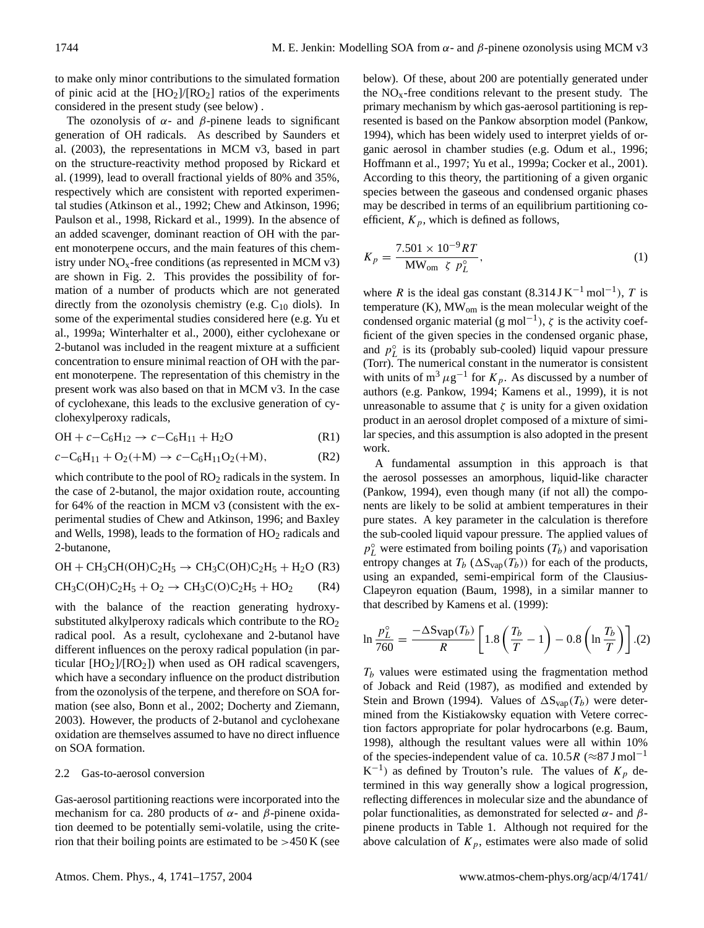to make only minor contributions to the simulated formation of pinic acid at the  $[HO_2]/[RO_2]$  ratios of the experiments considered in the present study (see below) .

The ozonolysis of  $\alpha$ - and  $\beta$ -pinene leads to significant generation of OH radicals. As described by Saunders et al. (2003), the representations in MCM v3, based in part on the structure-reactivity method proposed by Rickard et al. (1999), lead to overall fractional yields of 80% and 35%, respectively which are consistent with reported experimental studies (Atkinson et al., 1992; Chew and Atkinson, 1996; Paulson et al., 1998, Rickard et al., 1999). In the absence of an added scavenger, dominant reaction of OH with the parent monoterpene occurs, and the main features of this chemistry under  $NO<sub>x</sub>$ -free conditions (as represented in MCM v3) are shown in Fig. 2. This provides the possibility of formation of a number of products which are not generated directly from the ozonolysis chemistry (e.g.  $C_{10}$  diols). In some of the experimental studies considered here (e.g. Yu et al., 1999a; Winterhalter et al., 2000), either cyclohexane or 2-butanol was included in the reagent mixture at a sufficient concentration to ensure minimal reaction of OH with the parent monoterpene. The representation of this chemistry in the present work was also based on that in MCM v3. In the case of cyclohexane, this leads to the exclusive generation of cyclohexylperoxy radicals,

$$
OH + c - C_6H_{12} \rightarrow c - C_6H_{11} + H_2O
$$
 (R1)

$$
c - C_6H_{11} + O_2(+M) \to c - C_6H_{11}O_2(+M), \tag{R2}
$$

which contribute to the pool of  $RO<sub>2</sub>$  radicals in the system. In the case of 2-butanol, the major oxidation route, accounting for 64% of the reaction in MCM v3 (consistent with the experimental studies of Chew and Atkinson, 1996; and Baxley and Wells, 1998), leads to the formation of  $HO<sub>2</sub>$  radicals and 2-butanone,

 $OH + CH_3CH(OH)C_2H_5 \rightarrow CH_3C(OH)C_2H_5 + H_2O$  (R3)

$$
CH_3C(OH)C_2H_5 + O_2 \rightarrow CH_3C(O)C_2H_5 + HO_2 \qquad (R4)
$$

with the balance of the reaction generating hydroxysubstituted alkylperoxy radicals which contribute to the  $RO<sub>2</sub>$ radical pool. As a result, cyclohexane and 2-butanol have different influences on the peroxy radical population (in particular  $[HO_2]/[RO_2]$ ) when used as OH radical scavengers, which have a secondary influence on the product distribution from the ozonolysis of the terpene, and therefore on SOA formation (see also, Bonn et al., 2002; Docherty and Ziemann, 2003). However, the products of 2-butanol and cyclohexane oxidation are themselves assumed to have no direct influence on SOA formation.

## 2.2 Gas-to-aerosol conversion

Gas-aerosol partitioning reactions were incorporated into the mechanism for ca. 280 products of  $\alpha$ - and  $\beta$ -pinene oxidation deemed to be potentially semi-volatile, using the criterion that their boiling points are estimated to be  $>450$  K (see below). Of these, about 200 are potentially generated under the  $NO<sub>x</sub>$ -free conditions relevant to the present study. The primary mechanism by which gas-aerosol partitioning is represented is based on the Pankow absorption model (Pankow, 1994), which has been widely used to interpret yields of organic aerosol in chamber studies (e.g. Odum et al., 1996; Hoffmann et al., 1997; Yu et al., 1999a; Cocker et al., 2001). According to this theory, the partitioning of a given organic species between the gaseous and condensed organic phases may be described in terms of an equilibrium partitioning coefficient,  $K_p$ , which is defined as follows,

$$
K_p = \frac{7.501 \times 10^{-9}RT}{\text{MW}_{\text{om}} \zeta \ p_L^{\circ}}\tag{1}
$$

where R is the ideal gas constant  $(8.314 \text{ J K}^{-1} \text{ mol}^{-1})$ , T is temperature (K), MWom is the mean molecular weight of the condensed organic material (g mol<sup>-1</sup>),  $\zeta$  is the activity coefficient of the given species in the condensed organic phase, and  $p<sub>L</sub><sup>o</sup>$  is its (probably sub-cooled) liquid vapour pressure (Torr). The numerical constant in the numerator is consistent with units of  $m^3 \mu g^{-1}$  for  $K_p$ . As discussed by a number of authors (e.g. Pankow, 1994; Kamens et al., 1999), it is not unreasonable to assume that  $\zeta$  is unity for a given oxidation product in an aerosol droplet composed of a mixture of similar species, and this assumption is also adopted in the present work.

A fundamental assumption in this approach is that the aerosol possesses an amorphous, liquid-like character (Pankow, 1994), even though many (if not all) the components are likely to be solid at ambient temperatures in their pure states. A key parameter in the calculation is therefore the sub-cooled liquid vapour pressure. The applied values of  $p_L^{\circ}$  were estimated from boiling points  $(T_b)$  and vaporisation entropy changes at  $T_b$  ( $\Delta S_{vap}(T_b)$ ) for each of the products, using an expanded, semi-empirical form of the Clausius-Clapeyron equation (Baum, 1998), in a similar manner to that described by Kamens et al. (1999):

$$
\ln \frac{p_L^{\circ}}{760} = \frac{-\Delta \text{Sup}(T_b)}{R} \left[ 1.8 \left( \frac{T_b}{T} - 1 \right) - 0.8 \left( \ln \frac{T_b}{T} \right) \right].{(2)}
$$

 $T_b$  values were estimated using the fragmentation method of Joback and Reid (1987), as modified and extended by Stein and Brown (1994). Values of  $\Delta S_{\text{vap}}(T_b)$  were determined from the Kistiakowsky equation with Vetere correction factors appropriate for polar hydrocarbons (e.g. Baum, 1998), although the resultant values were all within 10% of the species-independent value of ca. 10.5R ( $\approx$ 87 J mol<sup>-1</sup>  $K^{-1}$ ) as defined by Trouton's rule. The values of  $K_p$  determined in this way generally show a logical progression, reflecting differences in molecular size and the abundance of polar functionalities, as demonstrated for selected  $\alpha$ - and  $\beta$ pinene products in Table 1. Although not required for the above calculation of  $K_p$ , estimates were also made of solid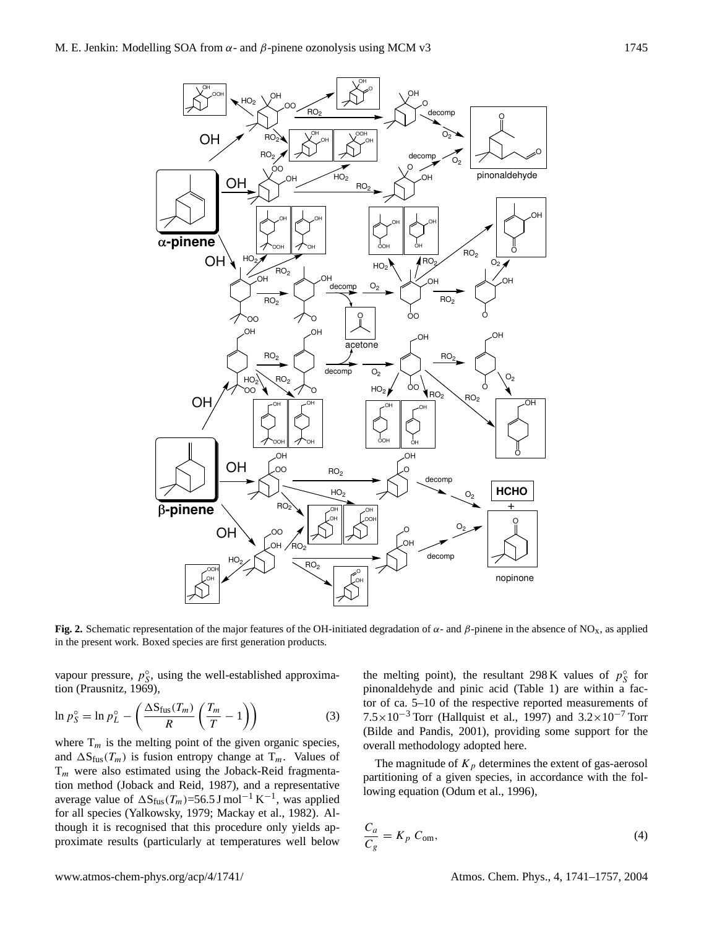$HO<sub>2</sub>$ 

OH OOH

OH





OH O

OH O

**Fig. 2.** Schematic representation of the major features of the OH-initiated degradation of  $\alpha$ - and  $\beta$ -pinene in the absence of NO<sub>x</sub>, as applied in the present work. Boxed species are first generation products.

vapour pressure,  $p_S^{\circ}$ , using the well-established approximation (Prausnitz, 1969),

$$
\ln p_S^\circ = \ln p_L^\circ - \left(\frac{\Delta S_{\text{fus}}(T_m)}{R} \left(\frac{T_m}{T} - 1\right)\right) \tag{3}
$$

where  $T_m$  is the melting point of the given organic species, and  $\Delta S_{\text{fus}}(T_m)$  is fusion entropy change at  $T_m$ . Values of  $T_m$  were also estimated using the Joback-Reid fragmentation method (Joback and Reid, 1987), and a representative average value of  $\Delta S_{fus}(T_m)$ =56.5 J mol<sup>-1</sup> K<sup>-1</sup>, was applied for all species (Yalkowsky, 1979; Mackay et al., 1982). Although it is recognised that this procedure only yields approximate results (particularly at temperatures well below

the melting point), the resultant 298 K values of  $p_S^{\circ}$  for pinonaldehyde and pinic acid (Table 1) are within a factor of ca. 5–10 of the respective reported measurements of  $7.5 \times 10^{-3}$  Torr (Hallquist et al., 1997) and  $3.2 \times 10^{-7}$  Torr (Bilde and Pandis, 2001), providing some support for the overall methodology adopted here.

The magnitude of  $K_p$  determines the extent of gas-aerosol partitioning of a given species, in accordance with the following equation (Odum et al., 1996),

$$
\frac{C_a}{C_g} = K_p C_{\text{om}},\tag{4}
$$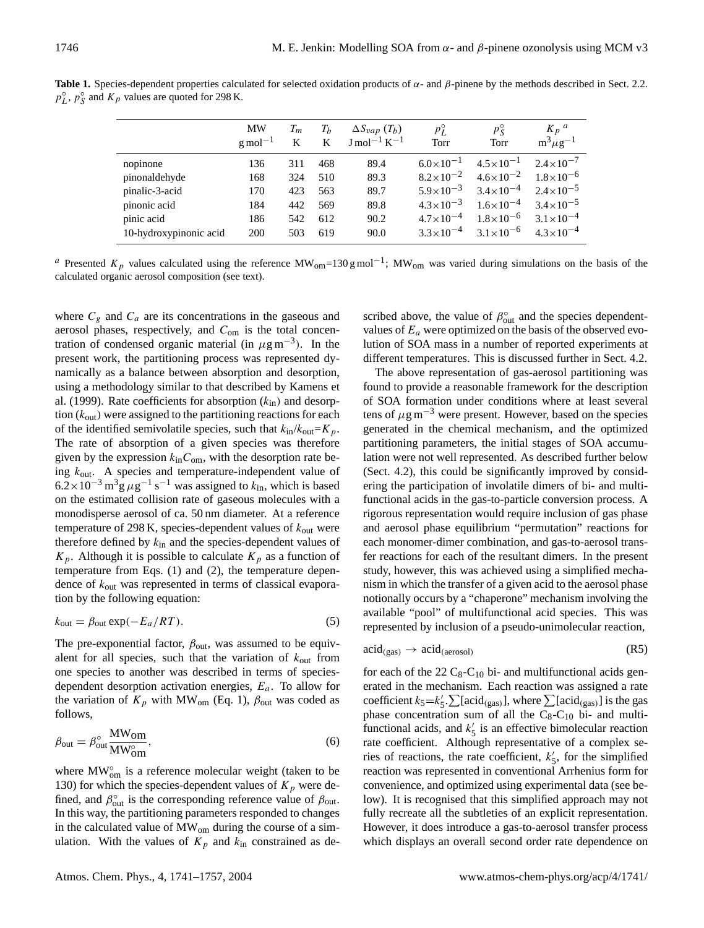|                        | MW<br>$g$ mol <sup>-1</sup> | $T_m$<br>K | $T_b$<br>K | $\Delta S_{vap}$ $(T_b)$<br>$\rm J$ mol <sup>-1</sup> K <sup>-1</sup> | $p_L^{\circ}$<br>Torr | $p_S^{\circ}$<br>Torr | $K_p$ <sup>a</sup><br>$m^3\mu g^{-1}$ |
|------------------------|-----------------------------|------------|------------|-----------------------------------------------------------------------|-----------------------|-----------------------|---------------------------------------|
| nopinone               | 136                         | 311        | 468        | 89.4                                                                  | $6.0 \times 10^{-1}$  | $4.5 \times 10^{-1}$  | $2.4 \times 10^{-7}$                  |
| pinonaldehyde          | 168                         | 324        | 510        | 89.3                                                                  | $8.2 \times 10^{-2}$  | $4.6 \times 10^{-2}$  | $1.8 \times 10^{-6}$                  |
| pinalic-3-acid         | 170                         | 423        | 563        | 89.7                                                                  | $5.9 \times 10^{-3}$  | $3.4 \times 10^{-4}$  | $2.4 \times 10^{-5}$                  |
| pinonic acid           | 184                         | 442        | 569        | 89.8                                                                  | $4.3 \times 10^{-3}$  | $1.6 \times 10^{-4}$  | $3.4 \times 10^{-5}$                  |
| pinic acid             | 186                         | 542        | 612        | 90.2                                                                  | $4.7 \times 10^{-4}$  | $1.8 \times 10^{-6}$  | $3.1 \times 10^{-4}$                  |
| 10-hydroxypinonic acid | 200                         | 503        | 619        | 90.0                                                                  | $3.3 \times 10^{-4}$  | $3.1 \times 10^{-6}$  | $4.3 \times 10^{-4}$                  |

**Table 1.** Species-dependent properties calculated for selected oxidation products of  $\alpha$ - and  $\beta$ -pinene by the methods described in Sect. 2.2.  $p_L^{\circ}$ ,  $p_S^{\circ}$  and  $K_p$  values are quoted for 298 K.

<sup>a</sup> Presented  $K_p$  values calculated using the reference MW<sub>om</sub>=130 g mol<sup>-1</sup>; MW<sub>om</sub> was varied during simulations on the basis of the calculated organic aerosol composition (see text).

where  $C_g$  and  $C_a$  are its concentrations in the gaseous and aerosol phases, respectively, and  $C_{\text{om}}$  is the total concentration of condensed organic material (in  $\mu$ g m<sup>-3</sup>). In the present work, the partitioning process was represented dynamically as a balance between absorption and desorption, using a methodology similar to that described by Kamens et al. (1999). Rate coefficients for absorption  $(k_{in})$  and desorption  $(k_{\text{out}})$  were assigned to the partitioning reactions for each of the identified semivolatile species, such that  $k_{in}/k_{out}=K_p$ . The rate of absorption of a given species was therefore given by the expression  $k_{\text{in}}C_{\text{om}}$ , with the desorption rate being  $k_{\text{out}}$ . A species and temperature-independent value of  $6.2 \times 10^{-3}$  m<sup>3</sup>g  $\mu$ g<sup>-1</sup> s<sup>-1</sup> was assigned to  $k_{\rm in}$ , which is based on the estimated collision rate of gaseous molecules with a monodisperse aerosol of ca. 50 nm diameter. At a reference temperature of 298 K, species-dependent values of  $k_{\text{out}}$  were therefore defined by  $k_{\text{in}}$  and the species-dependent values of  $K_p$ . Although it is possible to calculate  $K_p$  as a function of temperature from Eqs. (1) and (2), the temperature dependence of  $k_{\text{out}}$  was represented in terms of classical evaporation by the following equation:

$$
k_{\text{out}} = \beta_{\text{out}} \exp(-E_a/RT). \tag{5}
$$

The pre-exponential factor,  $\beta_{\text{out}}$ , was assumed to be equivalent for all species, such that the variation of  $k_{\text{out}}$  from one species to another was described in terms of speciesdependent desorption activation energies,  $E_a$ . To allow for the variation of  $K_p$  with MW<sub>om</sub> (Eq. 1),  $\beta_{\text{out}}$  was coded as follows,

$$
\beta_{\text{out}} = \beta_{\text{out}}^{\circ} \frac{\text{MWom}}{\text{MWom}},\tag{6}
$$

where MW<sub>om</sub> is a reference molecular weight (taken to be 130) for which the species-dependent values of  $K_p$  were defined, and  $\beta_{\text{out}}^{\circ}$  is the corresponding reference value of  $\beta_{\text{out}}$ . In this way, the partitioning parameters responded to changes in the calculated value of MW<sub>om</sub> during the course of a simulation. With the values of  $K_p$  and  $k_{\text{in}}$  constrained as de-

scribed above, the value of  $\beta_{\text{out}}^{\circ}$  and the species dependentvalues of  $E_a$  were optimized on the basis of the observed evolution of SOA mass in a number of reported experiments at different temperatures. This is discussed further in Sect. 4.2.

The above representation of gas-aerosol partitioning was found to provide a reasonable framework for the description of SOA formation under conditions where at least several tens of  $\mu$ g m<sup>-3</sup> were present. However, based on the species generated in the chemical mechanism, and the optimized partitioning parameters, the initial stages of SOA accumulation were not well represented. As described further below (Sect. 4.2), this could be significantly improved by considering the participation of involatile dimers of bi- and multifunctional acids in the gas-to-particle conversion process. A rigorous representation would require inclusion of gas phase and aerosol phase equilibrium "permutation" reactions for each monomer-dimer combination, and gas-to-aerosol transfer reactions for each of the resultant dimers. In the present study, however, this was achieved using a simplified mechanism in which the transfer of a given acid to the aerosol phase notionally occurs by a "chaperone" mechanism involving the available "pool" of multifunctional acid species. This was represented by inclusion of a pseudo-unimolecular reaction,

$$
acid_{(gas)} \to acid_{(aerosol)}
$$
 (R5)

for each of the 22  $C_8$ -C<sub>10</sub> bi- and multifunctional acids generated in the mechanism. Each reaction was assigned a rate coefficient  $k_5 = k'_5 \cdot \sum [\text{acid}_{(gas)}]$ , where  $\sum [\text{acid}_{(gas)}]$  is the gas phase concentration sum of all the  $C_8-C_{10}$  bi- and multifunctional acids, and  $k'_5$  is an effective bimolecular reaction rate coefficient. Although representative of a complex series of reactions, the rate coefficient,  $k'_5$ , for the simplified reaction was represented in conventional Arrhenius form for convenience, and optimized using experimental data (see below). It is recognised that this simplified approach may not fully recreate all the subtleties of an explicit representation. However, it does introduce a gas-to-aerosol transfer process which displays an overall second order rate dependence on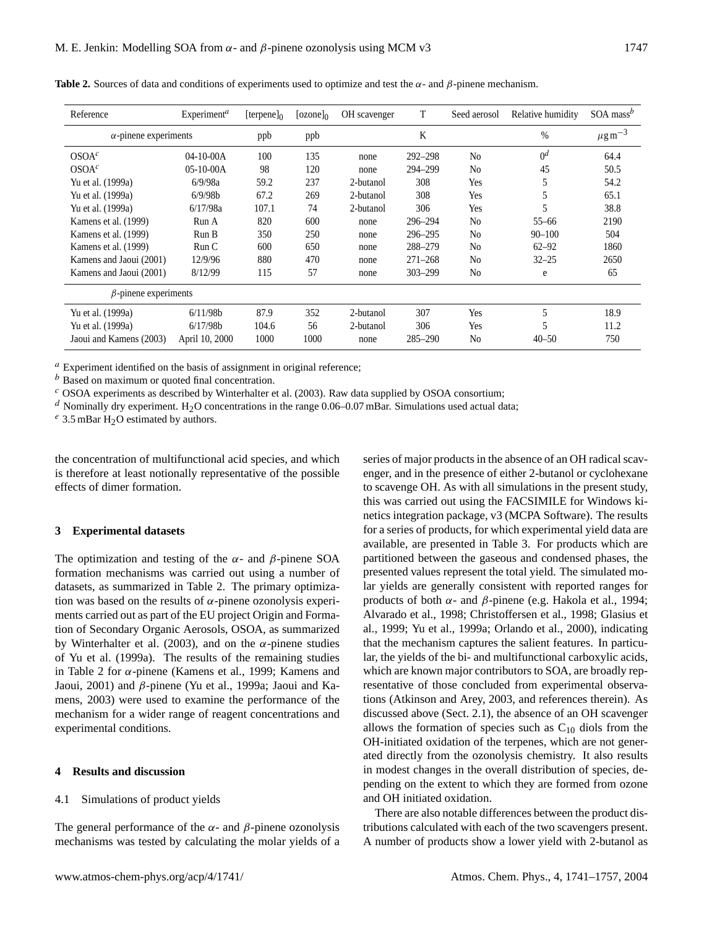| Reference                    | Experiment <sup>a</sup> | [terpene] $0$ | $[ozone]_0$ | OH scavenger | T           | Seed aerosol   | Relative humidity | SOA mass <sup>b</sup> |
|------------------------------|-------------------------|---------------|-------------|--------------|-------------|----------------|-------------------|-----------------------|
| $\alpha$ -pinene experiments |                         | ppb           | ppb         |              | K           |                | $\%$              | $\mu$ g m $^{-3}$     |
| OSOA <sup>c</sup>            | $04-10-00A$             | 100           | 135         | none         | 292-298     | N <sub>0</sub> | 0 <sup>d</sup>    | 64.4                  |
| OSOA <sup>c</sup>            | $05-10-00A$             | 98            | 120         | none         | 294-299     | No             | 45                | 50.5                  |
| Yu et al. (1999a)            | 6/9/98a                 | 59.2          | 237         | 2-butanol    | 308         | Yes            | 5                 | 54.2                  |
| Yu et al. (1999a)            | 6/9/98b                 | 67.2          | 269         | 2-butanol    | 308         | Yes            | 5                 | 65.1                  |
| Yu et al. (1999a)            | 6/17/98a                | 107.1         | 74          | 2-butanol    | 306         | Yes            | 5                 | 38.8                  |
| Kamens et al. (1999)         | Run A                   | 820           | 600         | none         | 296-294     | N <sub>0</sub> | $55 - 66$         | 2190                  |
| Kamens et al. (1999)         | Run B                   | 350           | 250         | none         | 296-295     | N <sub>0</sub> | $90 - 100$        | 504                   |
| Kamens et al. (1999)         | Run C                   | 600           | 650         | none         | 288-279     | N <sub>0</sub> | $62 - 92$         | 1860                  |
| Kamens and Jaoui (2001)      | 12/9/96                 | 880           | 470         | none         | $271 - 268$ | N <sub>0</sub> | $32 - 25$         | 2650                  |
| Kamens and Jaoui (2001)      | 8/12/99                 | 115           | 57          | none         | $303 - 299$ | No             | e                 | 65                    |
| $\beta$ -pinene experiments  |                         |               |             |              |             |                |                   |                       |
| Yu et al. (1999a)            | 6/11/98b                | 87.9          | 352         | 2-butanol    | 307         | Yes            | 5                 | 18.9                  |
| Yu et al. (1999a)            | 6/17/98b                | 104.6         | 56          | 2-butanol    | 306         | Yes            | 5                 | 11.2                  |
| Jaoui and Kamens (2003)      | April 10, 2000          | 1000          | 1000        | none         | $285 - 290$ | N <sub>0</sub> | $40 - 50$         | 750                   |

**Table 2.** Sources of data and conditions of experiments used to optimize and test the  $\alpha$ - and  $\beta$ -pinene mechanism.

 $a<sup>a</sup>$  Experiment identified on the basis of assignment in original reference;

 $<sup>b</sup>$  Based on maximum or quoted final concentration.</sup>

 $c$  OSOA experiments as described by Winterhalter et al. (2003). Raw data supplied by OSOA consortium;

 $d$  Nominally dry experiment. H<sub>2</sub>O concentrations in the range 0.06–0.07 mBar. Simulations used actual data;

 $e^e$  3.5 mBar H<sub>2</sub>O estimated by authors.

the concentration of multifunctional acid species, and which is therefore at least notionally representative of the possible effects of dimer formation.

#### **3 Experimental datasets**

The optimization and testing of the  $\alpha$ - and  $\beta$ -pinene SOA formation mechanisms was carried out using a number of datasets, as summarized in Table 2. The primary optimization was based on the results of  $\alpha$ -pinene ozonolysis experiments carried out as part of the EU project Origin and Formation of Secondary Organic Aerosols, OSOA, as summarized by Winterhalter et al. (2003), and on the  $\alpha$ -pinene studies of Yu et al. (1999a). The results of the remaining studies in Table 2 for  $\alpha$ -pinene (Kamens et al., 1999; Kamens and Jaoui, 2001) and β-pinene (Yu et al., 1999a; Jaoui and Kamens, 2003) were used to examine the performance of the mechanism for a wider range of reagent concentrations and experimental conditions.

## **4 Results and discussion**

4.1 Simulations of product yields

The general performance of the  $\alpha$ - and  $\beta$ -pinene ozonolysis mechanisms was tested by calculating the molar yields of a series of major products in the absence of an OH radical scavenger, and in the presence of either 2-butanol or cyclohexane to scavenge OH. As with all simulations in the present study, this was carried out using the FACSIMILE for Windows kinetics integration package, v3 (MCPA Software). The results for a series of products, for which experimental yield data are available, are presented in Table 3. For products which are partitioned between the gaseous and condensed phases, the presented values represent the total yield. The simulated molar yields are generally consistent with reported ranges for products of both  $\alpha$ - and β-pinene (e.g. Hakola et al., 1994; Alvarado et al., 1998; Christoffersen et al., 1998; Glasius et al., 1999; Yu et al., 1999a; Orlando et al., 2000), indicating that the mechanism captures the salient features. In particular, the yields of the bi- and multifunctional carboxylic acids, which are known major contributors to SOA, are broadly representative of those concluded from experimental observations (Atkinson and Arey, 2003, and references therein). As discussed above (Sect. 2.1), the absence of an OH scavenger allows the formation of species such as  $C_{10}$  diols from the OH-initiated oxidation of the terpenes, which are not generated directly from the ozonolysis chemistry. It also results in modest changes in the overall distribution of species, depending on the extent to which they are formed from ozone and OH initiated oxidation.

There are also notable differences between the product distributions calculated with each of the two scavengers present. A number of products show a lower yield with 2-butanol as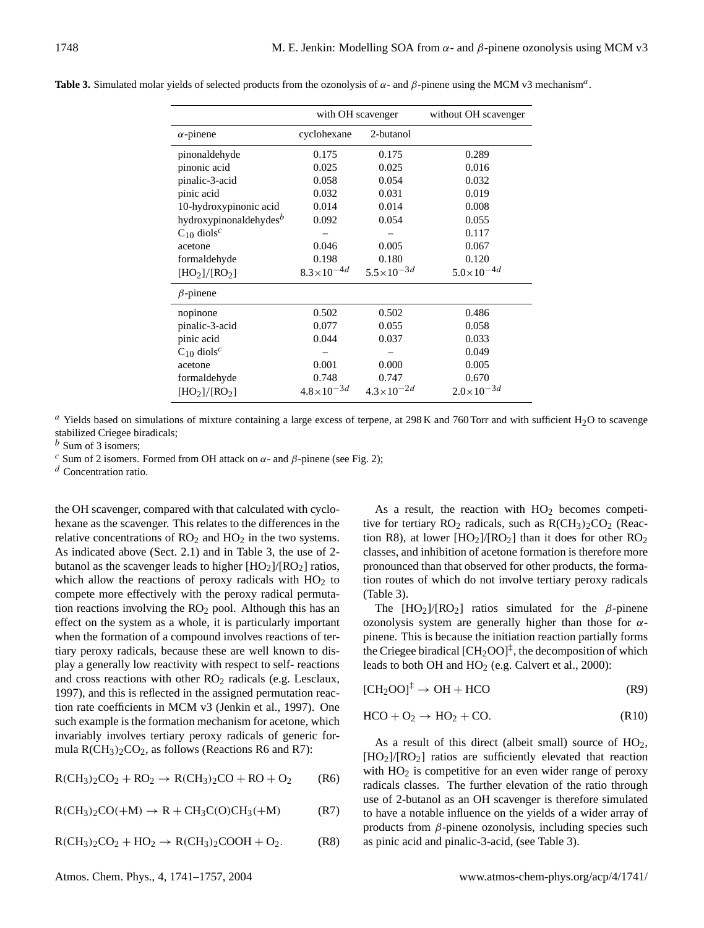|                                       | with OH scavenger     |                       | without OH scavenger  |
|---------------------------------------|-----------------------|-----------------------|-----------------------|
| $\alpha$ -pinene                      | cyclohexane           | 2-butanol             |                       |
| pinonaldehyde                         | 0.175                 | 0.175                 | 0.289                 |
| pinonic acid                          | 0.025                 | 0.025                 | 0.016                 |
| pinalic-3-acid                        | 0.058                 | 0.054                 | 0.032                 |
| pinic acid                            | 0.032                 | 0.031                 | 0.019                 |
| 10-hydroxypinonic acid                | 0.014                 | 0.014                 | 0.008                 |
| hydroxypinonaldehydes <sup>b</sup>    | 0.092                 | 0.054                 | 0.055                 |
| $C_{10}$ diols <sup>c</sup>           |                       |                       | 0.117                 |
| acetone                               | 0.046                 | 0.005                 | 0.067                 |
| formaldehyde                          | 0.198                 | 0.180                 | 0.120                 |
| [HO <sub>2</sub> ]/[RO <sub>2</sub> ] | $8.3 \times 10^{-4d}$ | $5.5 \times 10^{-3d}$ | $5.0 \times 10^{-4d}$ |
| $\beta$ -pinene                       |                       |                       |                       |
| nopinone                              | 0.502                 | 0.502                 | 0.486                 |
| pinalic-3-acid                        | 0.077                 | 0.055                 | 0.058                 |
| pinic acid                            | 0.044                 | 0.037                 | 0.033                 |
| $C_{10}$ diols <sup>c</sup>           |                       |                       | 0.049                 |
| acetone                               | 0.001                 | 0.000                 | 0.005                 |
| formaldehyde                          | 0.748                 | 0.747                 | 0.670                 |
| [HO <sub>2</sub> ]/[RO <sub>2</sub> ] | $4.8 \times 10^{-3d}$ | $4.3 \times 10^{-2d}$ | $2.0 \times 10^{-3d}$ |

Table 3. Simulated molar yields of selected products from the ozonolysis of  $\alpha$ - and  $\beta$ -pinene using the MCM v3 mechanism<sup>a</sup>.

 $a$  Yields based on simulations of mixture containing a large excess of terpene, at 298 K and 760 Torr and with sufficient H<sub>2</sub>O to scavenge stabilized Criegee biradicals;

 $<sup>b</sup>$  Sum of 3 isomers;</sup>

<sup>c</sup> Sum of 2 isomers. Formed from OH attack on  $\alpha$ - and  $\beta$ -pinene (see Fig. 2);

 $d$  Concentration ratio.

the OH scavenger, compared with that calculated with cyclohexane as the scavenger. This relates to the differences in the relative concentrations of  $RO<sub>2</sub>$  and  $HO<sub>2</sub>$  in the two systems. As indicated above (Sect. 2.1) and in Table 3, the use of 2 butanol as the scavenger leads to higher  $[HO<sub>2</sub>]/[RO<sub>2</sub>]$  ratios, which allow the reactions of peroxy radicals with  $HO<sub>2</sub>$  to compete more effectively with the peroxy radical permutation reactions involving the  $RO<sub>2</sub>$  pool. Although this has an effect on the system as a whole, it is particularly important when the formation of a compound involves reactions of tertiary peroxy radicals, because these are well known to display a generally low reactivity with respect to self- reactions and cross reactions with other RO<sub>2</sub> radicals (e.g. Lesclaux, 1997), and this is reflected in the assigned permutation reaction rate coefficients in MCM v3 (Jenkin et al., 1997). One such example is the formation mechanism for acetone, which invariably involves tertiary peroxy radicals of generic formula  $R(CH_3)_2CO_2$ , as follows (Reactions R6 and R7):

$$
R(CH3)2CO2 + RO2 \rightarrow R(CH3)2CO + RO + O2 (R6)
$$

 $R(CH<sub>3</sub>)<sub>2</sub>CO(+M) \rightarrow R + CH<sub>3</sub>C(O)CH<sub>3</sub>(+M)$  (R7)

$$
R(CH_3)_2CO_2 + HO_2 \rightarrow R(CH_3)_2COOH + O_2. \tag{R8}
$$

Atmos. Chem. Phys., 4, 1741–1757, 2004 www.atmos-chem-phys.org/acp/4/1741/

As a result, the reaction with  $HO<sub>2</sub>$  becomes competitive for tertiary  $RO<sub>2</sub>$  radicals, such as  $R(CH<sub>3</sub>)<sub>2</sub>CO<sub>2</sub>$  (Reaction R8), at lower  $[HO_2]/[RO_2]$  than it does for other  $RO_2$ classes, and inhibition of acetone formation is therefore more pronounced than that observed for other products, the formation routes of which do not involve tertiary peroxy radicals (Table 3).

The  $[HO_2]/[RO_2]$  ratios simulated for the β-pinene ozonolysis system are generally higher than those for  $\alpha$ pinene. This is because the initiation reaction partially forms the Criegee biradical  $[CH_2OO]^{\ddagger}$ , the decomposition of which leads to both OH and  $HO_2$  (e.g. Calvert et al., 2000):

$$
[CH_2OO]^{\ddagger} \to OH + HCO \tag{R9}
$$

$$
HCO + O_2 \rightarrow HO_2 + CO.
$$
 (R10)

As a result of this direct (albeit small) source of  $HO<sub>2</sub>$ , [HO2]/[RO2] ratios are sufficiently elevated that reaction with  $HO<sub>2</sub>$  is competitive for an even wider range of peroxy radicals classes. The further elevation of the ratio through use of 2-butanol as an OH scavenger is therefore simulated to have a notable influence on the yields of a wider array of products from  $\beta$ -pinene ozonolysis, including species such as pinic acid and pinalic-3-acid, (see Table 3).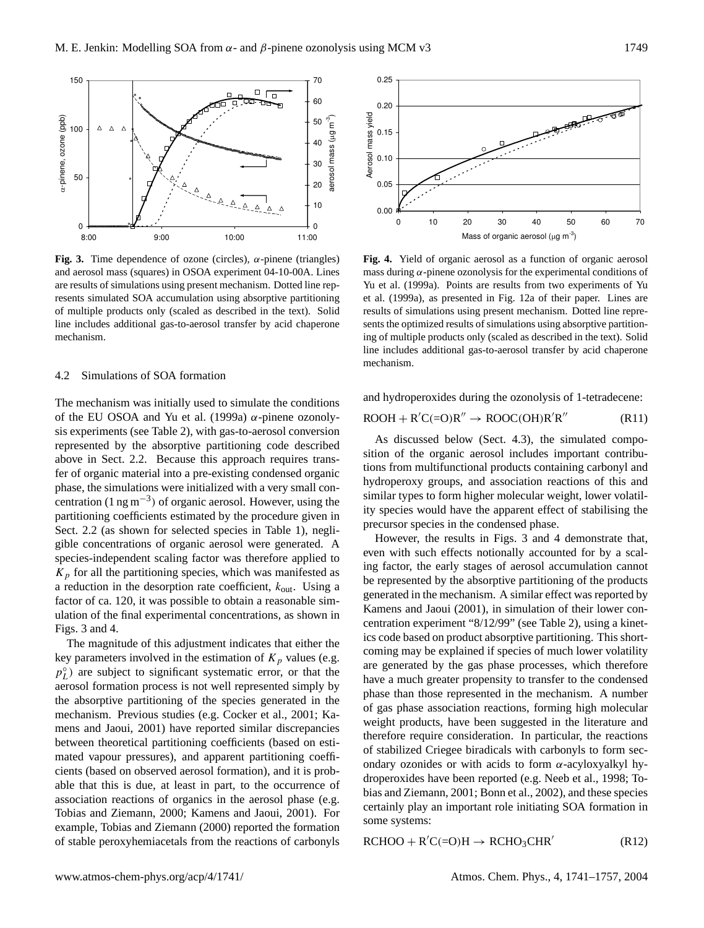

Fig. 3. Time dependence of ozone (circles),  $\alpha$ -pinene (triangles) and aerosol mass (squares) in OSOA experiment 04-10-00A. Lines are results of simulations using present mechanism. Dotted line represents simulated SOA accumulation using absorptive partitioning of multiple products only (scaled as described in the text). Solid line includes additional gas-to-aerosol transfer by acid chaperone mechanism.

## 4.2 Simulations of SOA formation

The mechanism was initially used to simulate the conditions of the EU OSOA and Yu et al. (1999a)  $\alpha$ -pinene ozonolysis experiments (see Table 2), with gas-to-aerosol conversion represented by the absorptive partitioning code described above in Sect. 2.2. Because this approach requires transfer of organic material into a pre-existing condensed organic phase, the simulations were initialized with a very small concentration  $(1 \text{ ng m}^{-3})$  of organic aerosol. However, using the partitioning coefficients estimated by the procedure given in Sect. 2.2 (as shown for selected species in Table 1), negligible concentrations of organic aerosol were generated. A species-independent scaling factor was therefore applied to  $K_p$  for all the partitioning species, which was manifested as a reduction in the desorption rate coefficient,  $k_{\text{out}}$ . Using a factor of ca. 120, it was possible to obtain a reasonable simulation of the final experimental concentrations, as shown in Figs. 3 and 4.

The magnitude of this adjustment indicates that either the key parameters involved in the estimation of  $K_p$  values (e.g.  $p_L^{\circ}$ ) are subject to significant systematic error, or that the aerosol formation process is not well represented simply by the absorptive partitioning of the species generated in the mechanism. Previous studies (e.g. Cocker et al., 2001; Kamens and Jaoui, 2001) have reported similar discrepancies between theoretical partitioning coefficients (based on estimated vapour pressures), and apparent partitioning coefficients (based on observed aerosol formation), and it is probable that this is due, at least in part, to the occurrence of association reactions of organics in the aerosol phase (e.g. Tobias and Ziemann, 2000; Kamens and Jaoui, 2001). For example, Tobias and Ziemann (2000) reported the formation of stable peroxyhemiacetals from the reactions of carbonyls



**Fig. 4.** Yield of organic aerosol as a function of organic aerosol mass during  $\alpha$ -pinene ozonolysis for the experimental conditions of Yu et al. (1999a). Points are results from two experiments of Yu et al. (1999a), as presented in Fig. 12a of their paper. Lines are results of simulations using present mechanism. Dotted line represents the optimized results of simulations using absorptive partitioning of multiple products only (scaled as described in the text). Solid line includes additional gas-to-aerosol transfer by acid chaperone mechanism.

and hydroperoxides during the ozonolysis of 1-tetradecene:

$$
ROOH + R'C(=O)R'' \rightarrow ROOC(OH)R'R''
$$
 (R11)

As discussed below (Sect. 4.3), the simulated composition of the organic aerosol includes important contributions from multifunctional products containing carbonyl and hydroperoxy groups, and association reactions of this and similar types to form higher molecular weight, lower volatility species would have the apparent effect of stabilising the precursor species in the condensed phase.

However, the results in Figs. 3 and 4 demonstrate that, even with such effects notionally accounted for by a scaling factor, the early stages of aerosol accumulation cannot be represented by the absorptive partitioning of the products generated in the mechanism. A similar effect was reported by Kamens and Jaoui (2001), in simulation of their lower concentration experiment "8/12/99" (see Table 2), using a kinetics code based on product absorptive partitioning. This shortcoming may be explained if species of much lower volatility are generated by the gas phase processes, which therefore have a much greater propensity to transfer to the condensed phase than those represented in the mechanism. A number of gas phase association reactions, forming high molecular weight products, have been suggested in the literature and therefore require consideration. In particular, the reactions of stabilized Criegee biradicals with carbonyls to form secondary ozonides or with acids to form  $\alpha$ -acyloxyalkyl hydroperoxides have been reported (e.g. Neeb et al., 1998; Tobias and Ziemann, 2001; Bonn et al., 2002), and these species certainly play an important role initiating SOA formation in some systems:

 $RCHOO + R'C(=O)H \rightarrow RCHO_3CHR'$ (R12)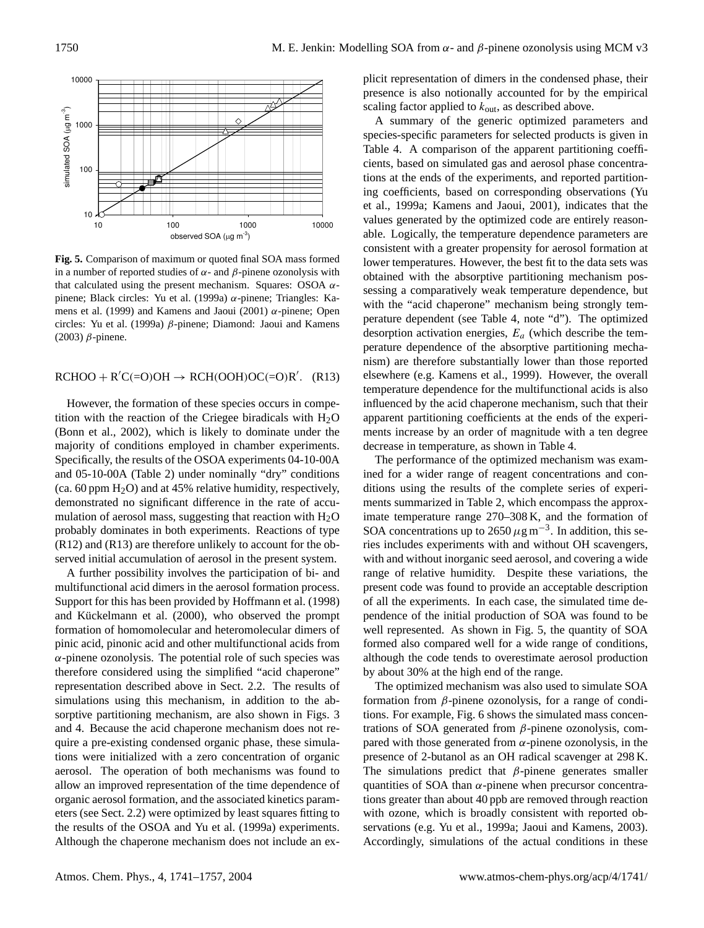

**Fig. 5.** Comparison of maximum or quoted final SOA mass formed in a number of reported studies of  $\alpha$ - and  $\beta$ -pinene ozonolysis with that calculated using the present mechanism. Squares: OSOA  $α$ pinene; Black circles: Yu et al. (1999a) α-pinene; Triangles: Kamens et al. (1999) and Kamens and Jaoui (2001)  $\alpha$ -pinene; Open circles: Yu et al. (1999a) β-pinene; Diamond: Jaoui and Kamens (2003) β-pinene.

 $RCHOO + R'C(=O)OH \rightarrow RCH(OOH)OC(=O)R'.$  (R13)

However, the formation of these species occurs in competition with the reaction of the Criegee biradicals with  $H_2O$ (Bonn et al., 2002), which is likely to dominate under the majority of conditions employed in chamber experiments. Specifically, the results of the OSOA experiments 04-10-00A and 05-10-00A (Table 2) under nominally "dry" conditions (ca. 60 ppm  $H_2O$ ) and at 45% relative humidity, respectively, demonstrated no significant difference in the rate of accumulation of aerosol mass, suggesting that reaction with  $H_2O$ probably dominates in both experiments. Reactions of type (R12) and (R13) are therefore unlikely to account for the observed initial accumulation of aerosol in the present system.

A further possibility involves the participation of bi- and multifunctional acid dimers in the aerosol formation process. Support for this has been provided by Hoffmann et al. (1998) and Kückelmann et al.  $(2000)$ , who observed the prompt formation of homomolecular and heteromolecular dimers of pinic acid, pinonic acid and other multifunctional acids from  $\alpha$ -pinene ozonolysis. The potential role of such species was therefore considered using the simplified "acid chaperone" representation described above in Sect. 2.2. The results of simulations using this mechanism, in addition to the absorptive partitioning mechanism, are also shown in Figs. 3 and 4. Because the acid chaperone mechanism does not require a pre-existing condensed organic phase, these simulations were initialized with a zero concentration of organic aerosol. The operation of both mechanisms was found to allow an improved representation of the time dependence of organic aerosol formation, and the associated kinetics parameters (see Sect. 2.2) were optimized by least squares fitting to the results of the OSOA and Yu et al. (1999a) experiments. Although the chaperone mechanism does not include an explicit representation of dimers in the condensed phase, their presence is also notionally accounted for by the empirical scaling factor applied to  $k_{\text{out}}$ , as described above.

A summary of the generic optimized parameters and species-specific parameters for selected products is given in Table 4. A comparison of the apparent partitioning coefficients, based on simulated gas and aerosol phase concentrations at the ends of the experiments, and reported partitioning coefficients, based on corresponding observations (Yu et al., 1999a; Kamens and Jaoui, 2001), indicates that the values generated by the optimized code are entirely reasonable. Logically, the temperature dependence parameters are consistent with a greater propensity for aerosol formation at lower temperatures. However, the best fit to the data sets was obtained with the absorptive partitioning mechanism possessing a comparatively weak temperature dependence, but with the "acid chaperone" mechanism being strongly temperature dependent (see Table 4, note "d"). The optimized desorption activation energies,  $E_a$  (which describe the temperature dependence of the absorptive partitioning mechanism) are therefore substantially lower than those reported elsewhere (e.g. Kamens et al., 1999). However, the overall temperature dependence for the multifunctional acids is also influenced by the acid chaperone mechanism, such that their apparent partitioning coefficients at the ends of the experiments increase by an order of magnitude with a ten degree decrease in temperature, as shown in Table 4.

The performance of the optimized mechanism was examined for a wider range of reagent concentrations and conditions using the results of the complete series of experiments summarized in Table 2, which encompass the approximate temperature range 270–308 K, and the formation of SOA concentrations up to 2650  $\mu$ g m<sup>-3</sup>. In addition, this series includes experiments with and without OH scavengers, with and without inorganic seed aerosol, and covering a wide range of relative humidity. Despite these variations, the present code was found to provide an acceptable description of all the experiments. In each case, the simulated time dependence of the initial production of SOA was found to be well represented. As shown in Fig. 5, the quantity of SOA formed also compared well for a wide range of conditions, although the code tends to overestimate aerosol production by about 30% at the high end of the range.

The optimized mechanism was also used to simulate SOA formation from  $\beta$ -pinene ozonolysis, for a range of conditions. For example, Fig. 6 shows the simulated mass concentrations of SOA generated from β-pinene ozonolysis, compared with those generated from  $\alpha$ -pinene ozonolysis, in the presence of 2-butanol as an OH radical scavenger at 298 K. The simulations predict that  $\beta$ -pinene generates smaller quantities of SOA than  $\alpha$ -pinene when precursor concentrations greater than about 40 ppb are removed through reaction with ozone, which is broadly consistent with reported observations (e.g. Yu et al., 1999a; Jaoui and Kamens, 2003). Accordingly, simulations of the actual conditions in these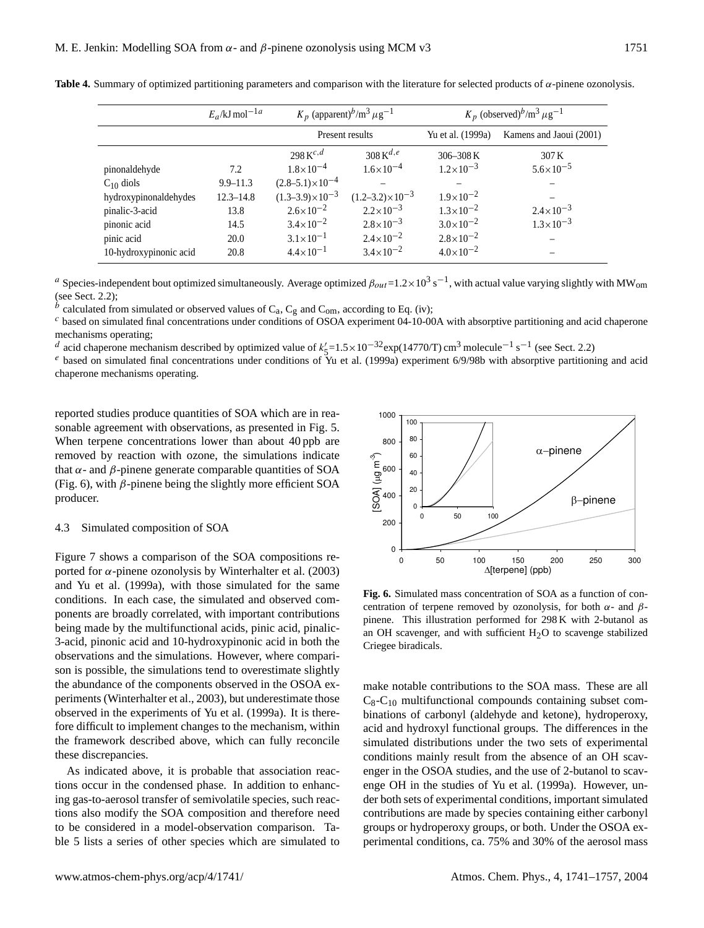|                       | $E_a$ /kJ mol <sup>-1a</sup> | $K_p$ (apparent) <sup>b</sup> /m <sup>3</sup> $\mu$ g <sup>-1</sup> |                              | $K_p$ (observed) <sup>b</sup> /m <sup>3</sup> $\mu$ g <sup>-1</sup> |                         |  |
|-----------------------|------------------------------|---------------------------------------------------------------------|------------------------------|---------------------------------------------------------------------|-------------------------|--|
|                       |                              | Present results                                                     |                              | Yu et al. (1999a)                                                   | Kamens and Jaoui (2001) |  |
|                       |                              | 298 $K^{c,d}$                                                       | 308 K $^{d,e}$               | $306 - 308$ K                                                       | 307 K                   |  |
| pinonaldehyde         | 7.2                          | $1.8 \times 10^{-4}$                                                | $1.6 \times 10^{-4}$         | $1.2 \times 10^{-3}$                                                | $5.6 \times 10^{-5}$    |  |
| $C_{10}$ diols        | $9.9 - 11.3$                 | $(2.8-5.1)\times10^{-4}$                                            |                              |                                                                     |                         |  |
| hydroxypinonaldehydes | $12.3 - 14.8$                | $(1.3-3.9)\times10^{-3}$                                            | $(1.2 - 3.2) \times 10^{-3}$ | $1.9 \times 10^{-2}$                                                |                         |  |
| pinalic-3-acid        | 13.8                         | $2.6 \times 10^{-2}$                                                | $2.2 \times 10^{-3}$         | $1.3 \times 10^{-2}$                                                | $2.4 \times 10^{-3}$    |  |
| pinonic acid          | 14.5                         | $3.4 \times 10^{-2}$                                                | $2.8 \times 10^{-3}$         | $3.0\times10^{-2}$                                                  | $1.3 \times 10^{-3}$    |  |

**Table 4.** Summary of optimized partitioning parameters and comparison with the literature for selected products of α-pinene ozonolysis.

<sup>a</sup> Species-independent bout optimized simultaneously. Average optimized  $\beta_{out}$ =1.2×10<sup>3</sup> s<sup>-1</sup>, with actual value varying slightly with MW<sub>om</sub> (see Sect. 2.2);

 $^b$  calculated from simulated or observed values of C<sub>a</sub>, C<sub>g</sub> and C<sub>om</sub>, according to Eq. (iv);

 $c$  based on simulated final concentrations under conditions of OSOA experiment 04-10-00A with absorptive partitioning and acid chaperone mechanisms operating;

d acid chaperone mechanism described by optimized value of  $k'_{5}$ =1.5×10<sup>-32</sup>exp(14770/T) cm<sup>3</sup> molecule<sup>-1</sup> s<sup>-1</sup> (see Sect. 2.2)

pinic acid 20.0  $3.1 \times 10^{-1}$   $2.4 \times 10^{-2}$   $2.8 \times 10^{-2}$   $-$ 

10-hydroxypinonic acid 20.8  $4.4 \times 10^{-1}$   $3.4 \times 10^{-2}$   $4.0 \times 10^{-2}$ 

 $e$  based on simulated final concentrations under conditions of Yu et al. (1999a) experiment 6/9/98b with absorptive partitioning and acid chaperone mechanisms operating.

reported studies produce quantities of SOA which are in reasonable agreement with observations, as presented in Fig. 5. When terpene concentrations lower than about 40 ppb are removed by reaction with ozone, the simulations indicate that  $α$ - and  $β$ -pinene generate comparable quantities of SOA (Fig. 6), with  $\beta$ -pinene being the slightly more efficient SOA producer.

#### 4.3 Simulated composition of SOA

Figure 7 shows a comparison of the SOA compositions reported for α-pinene ozonolysis by Winterhalter et al.  $(2003)$ and Yu et al. (1999a), with those simulated for the same conditions. In each case, the simulated and observed components are broadly correlated, with important contributions being made by the multifunctional acids, pinic acid, pinalic-3-acid, pinonic acid and 10-hydroxypinonic acid in both the observations and the simulations. However, where comparison is possible, the simulations tend to overestimate slightly the abundance of the components observed in the OSOA experiments (Winterhalter et al., 2003), but underestimate those observed in the experiments of Yu et al. (1999a). It is therefore difficult to implement changes to the mechanism, within the framework described above, which can fully reconcile these discrepancies.

As indicated above, it is probable that association reactions occur in the condensed phase. In addition to enhancing gas-to-aerosol transfer of semivolatile species, such reactions also modify the SOA composition and therefore need to be considered in a model-observation comparison. Table 5 lists a series of other species which are simulated to



**Fig. 6.** Simulated mass concentration of SOA as a function of concentration of terpene removed by ozonolysis, for both  $\alpha$ - and  $\beta$ pinene. This illustration performed for 298 K with 2-butanol as an OH scavenger, and with sufficient  $H_2O$  to scavenge stabilized Criegee biradicals.

make notable contributions to the SOA mass. These are all  $C_8$ - $C_{10}$  multifunctional compounds containing subset combinations of carbonyl (aldehyde and ketone), hydroperoxy, acid and hydroxyl functional groups. The differences in the simulated distributions under the two sets of experimental conditions mainly result from the absence of an OH scavenger in the OSOA studies, and the use of 2-butanol to scavenge OH in the studies of Yu et al. (1999a). However, under both sets of experimental conditions, important simulated contributions are made by species containing either carbonyl groups or hydroperoxy groups, or both. Under the OSOA experimental conditions, ca. 75% and 30% of the aerosol mass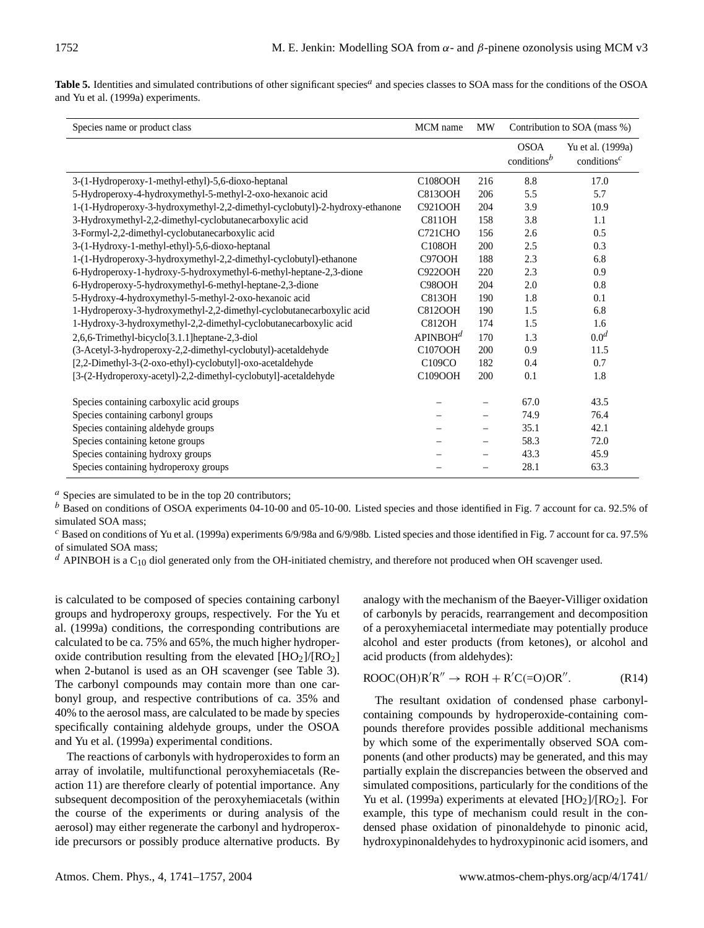Table 5. Identities and simulated contributions of other significant species<sup>a</sup> and species classes to SOA mass for the conditions of the OSOA and Yu et al. (1999a) experiments.

| Species name or product class                                                | MCM name             | <b>MW</b>                |                                      | Contribution to SOA (mass %)<br><b>OSOA</b><br>Yu et al. (1999a)<br>conditions <sup><math>c</math></sup> |  |
|------------------------------------------------------------------------------|----------------------|--------------------------|--------------------------------------|----------------------------------------------------------------------------------------------------------|--|
|                                                                              |                      |                          | conditions <sup><math>b</math></sup> |                                                                                                          |  |
| 3-(1-Hydroperoxy-1-methyl-ethyl)-5,6-dioxo-heptanal                          | C108OOH              | 216                      | 8.8                                  | 17.0                                                                                                     |  |
| 5-Hydroperoxy-4-hydroxymethyl-5-methyl-2-oxo-hexanoic acid                   | <b>C813OOH</b>       | 206                      | 5.5                                  | 5.7                                                                                                      |  |
| 1-(1-Hydroperoxy-3-hydroxymethyl-2,2-dimethyl-cyclobutyl)-2-hydroxy-ethanone | C921OOH              | 204                      | 3.9                                  | 10.9                                                                                                     |  |
| 3-Hydroxymethyl-2,2-dimethyl-cyclobutanecarboxylic acid                      | <b>C811OH</b>        | 158                      | 3.8                                  | 1.1                                                                                                      |  |
| 3-Formyl-2,2-dimethyl-cyclobutanecarboxylic acid                             | <b>C721CHO</b>       | 156                      | 2.6                                  | 0.5                                                                                                      |  |
| 3-(1-Hydroxy-1-methyl-ethyl)-5,6-dioxo-heptanal                              | <b>C108OH</b>        | 200                      | 2.5                                  | 0.3                                                                                                      |  |
| 1-(1-Hydroperoxy-3-hydroxymethyl-2,2-dimethyl-cyclobutyl)-ethanone           | <b>C97OOH</b>        | 188                      | 2.3                                  | 6.8                                                                                                      |  |
| 6-Hydroperoxy-1-hydroxy-5-hydroxymethyl-6-methyl-heptane-2,3-dione           | C922OOH              | 220                      | 2.3                                  | 0.9                                                                                                      |  |
| 6-Hydroperoxy-5-hydroxymethyl-6-methyl-heptane-2,3-dione                     | <b>C98OOH</b>        | 204                      | 2.0                                  | 0.8                                                                                                      |  |
| 5-Hydroxy-4-hydroxymethyl-5-methyl-2-oxo-hexanoic acid                       | <b>C813OH</b>        | 190                      | 1.8                                  | 0.1                                                                                                      |  |
| 1-Hydroperoxy-3-hydroxymethyl-2,2-dimethyl-cyclobutanecarboxylic acid        | <b>C812OOH</b>       | 190                      | 1.5                                  | 6.8                                                                                                      |  |
| 1-Hydroxy-3-hydroxymethyl-2,2-dimethyl-cyclobutanecarboxylic acid            | <b>C812OH</b>        | 174                      | 1.5                                  | 1.6                                                                                                      |  |
| 2,6,6-Trimethyl-bicyclo[3.1.1]heptane-2,3-diol                               | APINBOH <sup>d</sup> | 170                      | 1.3                                  | 0.0 <sup>d</sup>                                                                                         |  |
| (3-Acetyl-3-hydroperoxy-2,2-dimethyl-cyclobutyl)-acetaldehyde                | C107OOH              | 200                      | 0.9                                  | 11.5                                                                                                     |  |
| [2,2-Dimethyl-3-(2-oxo-ethyl)-cyclobutyl]-oxo-acetaldehyde                   | C109CO               | 182                      | 0.4                                  | 0.7                                                                                                      |  |
| [3-(2-Hydroperoxy-acetyl)-2,2-dimethyl-cyclobutyl]-acetaldehyde              | C109OOH              | 200                      | 0.1                                  | 1.8                                                                                                      |  |
| Species containing carboxylic acid groups                                    |                      | $\qquad \qquad$          | 67.0                                 | 43.5                                                                                                     |  |
| Species containing carbonyl groups                                           |                      | $\overline{\phantom{0}}$ | 74.9                                 | 76.4                                                                                                     |  |
| Species containing aldehyde groups                                           |                      | $\qquad \qquad -$        | 35.1                                 | 42.1                                                                                                     |  |
| Species containing ketone groups                                             |                      | $\qquad \qquad -$        | 58.3                                 | 72.0                                                                                                     |  |
| Species containing hydroxy groups                                            |                      |                          | 43.3                                 | 45.9                                                                                                     |  |
| Species containing hydroperoxy groups                                        |                      | $\qquad \qquad -$        | 28.1                                 | 63.3                                                                                                     |  |

 $a$  Species are simulated to be in the top 20 contributors;

 $<sup>b</sup>$  Based on conditions of OSOA experiments 04-10-00 and 05-10-00. Listed species and those identified in Fig. 7 account for ca. 92.5% of</sup> simulated SOA mass:

 $c$  Based on conditions of Yu et al. (1999a) experiments 6/9/98a and 6/9/98b. Listed species and those identified in Fig. 7 account for ca. 97.5% of simulated SOA mass;

 $^d$  APINBOH is a C<sub>10</sub> diol generated only from the OH-initiated chemistry, and therefore not produced when OH scavenger used.

is calculated to be composed of species containing carbonyl groups and hydroperoxy groups, respectively. For the Yu et al. (1999a) conditions, the corresponding contributions are calculated to be ca. 75% and 65%, the much higher hydroperoxide contribution resulting from the elevated  $[HO_2]/[RO_2]$ when 2-butanol is used as an OH scavenger (see Table 3). The carbonyl compounds may contain more than one carbonyl group, and respective contributions of ca. 35% and 40% to the aerosol mass, are calculated to be made by species specifically containing aldehyde groups, under the OSOA and Yu et al. (1999a) experimental conditions.

The reactions of carbonyls with hydroperoxides to form an array of involatile, multifunctional peroxyhemiacetals (Reaction 11) are therefore clearly of potential importance. Any subsequent decomposition of the peroxyhemiacetals (within the course of the experiments or during analysis of the aerosol) may either regenerate the carbonyl and hydroperoxide precursors or possibly produce alternative products. By analogy with the mechanism of the Baeyer-Villiger oxidation of carbonyls by peracids, rearrangement and decomposition of a peroxyhemiacetal intermediate may potentially produce alcohol and ester products (from ketones), or alcohol and acid products (from aldehydes):

$$
ROOC(OH)R'R'' \to ROH + R'C(=O)OR''. \tag{R14}
$$

The resultant oxidation of condensed phase carbonylcontaining compounds by hydroperoxide-containing compounds therefore provides possible additional mechanisms by which some of the experimentally observed SOA components (and other products) may be generated, and this may partially explain the discrepancies between the observed and simulated compositions, particularly for the conditions of the Yu et al. (1999a) experiments at elevated  $[HO<sub>2</sub>]/[RO<sub>2</sub>]$ . For example, this type of mechanism could result in the condensed phase oxidation of pinonaldehyde to pinonic acid, hydroxypinonaldehydes to hydroxypinonic acid isomers, and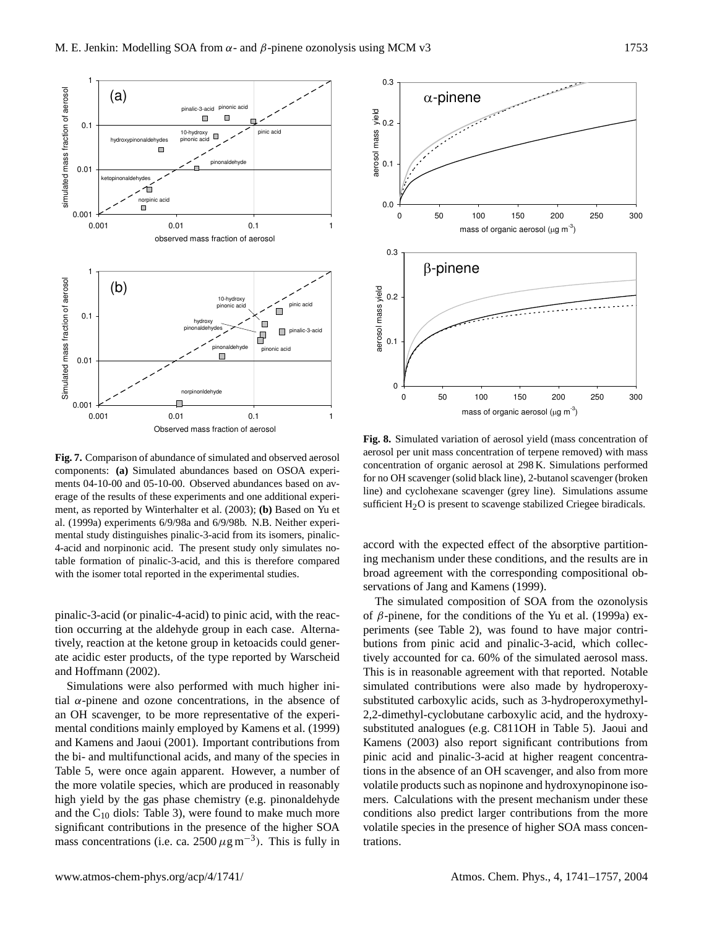

**Fig. 7.** Comparison of abundance of simulated and observed aerosol components: **(a)** Simulated abundances based on OSOA experiments 04-10-00 and 05-10-00. Observed abundances based on average of the results of these experiments and one additional experiment, as reported by Winterhalter et al. (2003); **(b)** Based on Yu et al. (1999a) experiments 6/9/98a and 6/9/98b. N.B. Neither experimental study distinguishes pinalic-3-acid from its isomers, pinalic-4-acid and norpinonic acid. The present study only simulates notable formation of pinalic-3-acid, and this is therefore compared with the isomer total reported in the experimental studies.

pinalic-3-acid (or pinalic-4-acid) to pinic acid, with the reaction occurring at the aldehyde group in each case. Alternatively, reaction at the ketone group in ketoacids could generate acidic ester products, of the type reported by Warscheid and Hoffmann (2002).

Simulations were also performed with much higher initial  $\alpha$ -pinene and ozone concentrations, in the absence of an OH scavenger, to be more representative of the experimental conditions mainly employed by Kamens et al. (1999) and Kamens and Jaoui (2001). Important contributions from the bi- and multifunctional acids, and many of the species in Table 5, were once again apparent. However, a number of the more volatile species, which are produced in reasonably high yield by the gas phase chemistry (e.g. pinonaldehyde and the  $C_{10}$  diols: Table 3), were found to make much more significant contributions in the presence of the higher SOA mass concentrations (i.e. ca. 2500  $\mu$ g m<sup>-3</sup>). This is fully in



**Fig. 8.** Simulated variation of aerosol yield (mass concentration of aerosol per unit mass concentration of terpene removed) with mass concentration of organic aerosol at 298 K. Simulations performed for no OH scavenger (solid black line), 2-butanol scavenger (broken line) and cyclohexane scavenger (grey line). Simulations assume sufficient  $H_2O$  is present to scavenge stabilized Criegee biradicals.

accord with the expected effect of the absorptive partitioning mechanism under these conditions, and the results are in broad agreement with the corresponding compositional observations of Jang and Kamens (1999).

The simulated composition of SOA from the ozonolysis of  $\beta$ -pinene, for the conditions of the Yu et al. (1999a) experiments (see Table 2), was found to have major contributions from pinic acid and pinalic-3-acid, which collectively accounted for ca. 60% of the simulated aerosol mass. This is in reasonable agreement with that reported. Notable simulated contributions were also made by hydroperoxysubstituted carboxylic acids, such as 3-hydroperoxymethyl-2,2-dimethyl-cyclobutane carboxylic acid, and the hydroxysubstituted analogues (e.g. C811OH in Table 5). Jaoui and Kamens (2003) also report significant contributions from pinic acid and pinalic-3-acid at higher reagent concentrations in the absence of an OH scavenger, and also from more volatile products such as nopinone and hydroxynopinone isomers. Calculations with the present mechanism under these conditions also predict larger contributions from the more volatile species in the presence of higher SOA mass concentrations.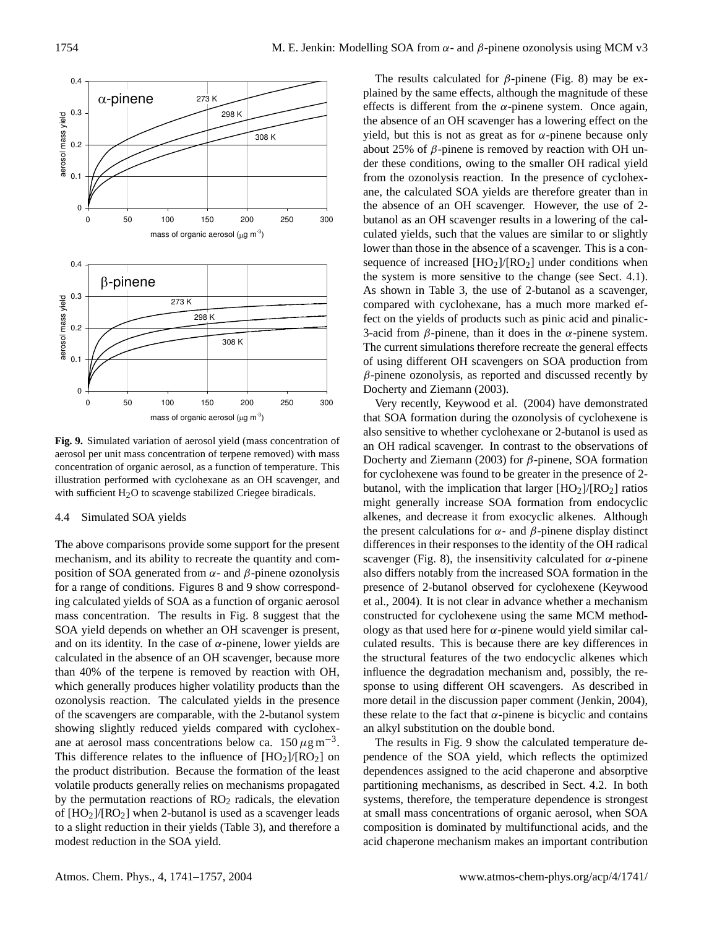

**Fig. 9.** Simulated variation of aerosol yield (mass concentration of aerosol per unit mass concentration of terpene removed) with mass concentration of organic aerosol, as a function of temperature. This illustration performed with cyclohexane as an OH scavenger, and with sufficient  $H_2O$  to scavenge stabilized Criegee biradicals.

### 4.4 Simulated SOA yields

The above comparisons provide some support for the present mechanism, and its ability to recreate the quantity and composition of SOA generated from  $\alpha$ - and  $\beta$ -pinene ozonolysis for a range of conditions. Figures 8 and 9 show corresponding calculated yields of SOA as a function of organic aerosol mass concentration. The results in Fig. 8 suggest that the SOA yield depends on whether an OH scavenger is present, and on its identity. In the case of  $\alpha$ -pinene, lower yields are calculated in the absence of an OH scavenger, because more than 40% of the terpene is removed by reaction with OH, which generally produces higher volatility products than the ozonolysis reaction. The calculated yields in the presence of the scavengers are comparable, with the 2-butanol system showing slightly reduced yields compared with cyclohexane at aerosol mass concentrations below ca.  $150 \,\mu g \,\text{m}^{-3}$ . This difference relates to the influence of  $[HO<sub>2</sub>]/[RO<sub>2</sub>]$  on the product distribution. Because the formation of the least volatile products generally relies on mechanisms propagated by the permutation reactions of  $RO<sub>2</sub>$  radicals, the elevation of  $[HO_2]/[RO_2]$  when 2-butanol is used as a scavenger leads to a slight reduction in their yields (Table 3), and therefore a modest reduction in the SOA yield.

The results calculated for  $\beta$ -pinene (Fig. 8) may be explained by the same effects, although the magnitude of these effects is different from the  $\alpha$ -pinene system. Once again, the absence of an OH scavenger has a lowering effect on the yield, but this is not as great as for  $\alpha$ -pinene because only about 25% of  $\beta$ -pinene is removed by reaction with OH under these conditions, owing to the smaller OH radical yield from the ozonolysis reaction. In the presence of cyclohexane, the calculated SOA yields are therefore greater than in the absence of an OH scavenger. However, the use of 2 butanol as an OH scavenger results in a lowering of the calculated yields, such that the values are similar to or slightly lower than those in the absence of a scavenger. This is a consequence of increased  $[HO_2]/[RO_2]$  under conditions when the system is more sensitive to the change (see Sect. 4.1). As shown in Table 3, the use of 2-butanol as a scavenger, compared with cyclohexane, has a much more marked effect on the yields of products such as pinic acid and pinalic-3-acid from  $\beta$ -pinene, than it does in the  $\alpha$ -pinene system. The current simulations therefore recreate the general effects of using different OH scavengers on SOA production from  $\beta$ -pinene ozonolysis, as reported and discussed recently by Docherty and Ziemann (2003).

Very recently, Keywood et al. (2004) have demonstrated that SOA formation during the ozonolysis of cyclohexene is also sensitive to whether cyclohexane or 2-butanol is used as an OH radical scavenger. In contrast to the observations of Docherty and Ziemann (2003) for  $\beta$ -pinene, SOA formation for cyclohexene was found to be greater in the presence of 2 butanol, with the implication that larger  $[HO_2]/[RO_2]$  ratios might generally increase SOA formation from endocyclic alkenes, and decrease it from exocyclic alkenes. Although the present calculations for  $\alpha$ - and  $\beta$ -pinene display distinct differences in their responses to the identity of the OH radical scavenger (Fig. 8), the insensitivity calculated for  $\alpha$ -pinene also differs notably from the increased SOA formation in the presence of 2-butanol observed for cyclohexene (Keywood et al., 2004). It is not clear in advance whether a mechanism constructed for cyclohexene using the same MCM methodology as that used here for  $\alpha$ -pinene would yield similar calculated results. This is because there are key differences in the structural features of the two endocyclic alkenes which influence the degradation mechanism and, possibly, the response to using different OH scavengers. As described in more detail in the discussion paper comment (Jenkin, 2004), these relate to the fact that  $\alpha$ -pinene is bicyclic and contains an alkyl substitution on the double bond.

The results in Fig. 9 show the calculated temperature dependence of the SOA yield, which reflects the optimized dependences assigned to the acid chaperone and absorptive partitioning mechanisms, as described in Sect. 4.2. In both systems, therefore, the temperature dependence is strongest at small mass concentrations of organic aerosol, when SOA composition is dominated by multifunctional acids, and the acid chaperone mechanism makes an important contribution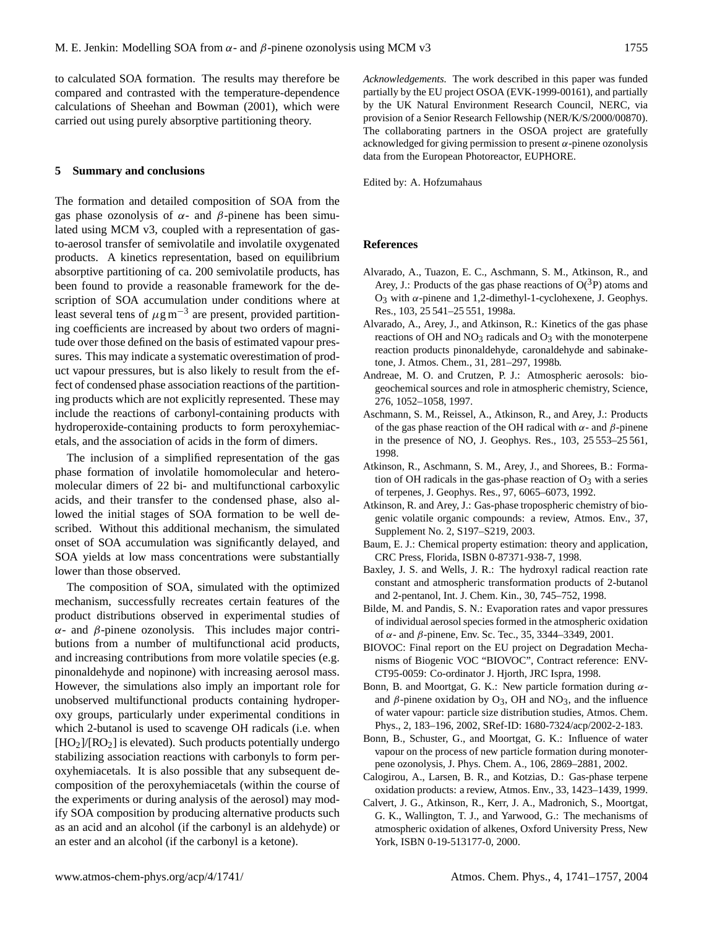to calculated SOA formation. The results may therefore be compared and contrasted with the temperature-dependence calculations of Sheehan and Bowman (2001), which were carried out using purely absorptive partitioning theory.

## **5 Summary and conclusions**

The formation and detailed composition of SOA from the gas phase ozonolysis of  $\alpha$ - and  $\beta$ -pinene has been simulated using MCM v3, coupled with a representation of gasto-aerosol transfer of semivolatile and involatile oxygenated products. A kinetics representation, based on equilibrium absorptive partitioning of ca. 200 semivolatile products, has been found to provide a reasonable framework for the description of SOA accumulation under conditions where at least several tens of  $\mu$ g m<sup>-3</sup> are present, provided partitioning coefficients are increased by about two orders of magnitude over those defined on the basis of estimated vapour pressures. This may indicate a systematic overestimation of product vapour pressures, but is also likely to result from the effect of condensed phase association reactions of the partitioning products which are not explicitly represented. These may include the reactions of carbonyl-containing products with hydroperoxide-containing products to form peroxyhemiacetals, and the association of acids in the form of dimers.

The inclusion of a simplified representation of the gas phase formation of involatile homomolecular and heteromolecular dimers of 22 bi- and multifunctional carboxylic acids, and their transfer to the condensed phase, also allowed the initial stages of SOA formation to be well described. Without this additional mechanism, the simulated onset of SOA accumulation was significantly delayed, and SOA yields at low mass concentrations were substantially lower than those observed.

The composition of SOA, simulated with the optimized mechanism, successfully recreates certain features of the product distributions observed in experimental studies of α- and β-pinene ozonolysis. This includes major contributions from a number of multifunctional acid products, and increasing contributions from more volatile species (e.g. pinonaldehyde and nopinone) with increasing aerosol mass. However, the simulations also imply an important role for unobserved multifunctional products containing hydroperoxy groups, particularly under experimental conditions in which 2-butanol is used to scavenge OH radicals (i.e. when  $[HO<sub>2</sub>]/[RO<sub>2</sub>]$  is elevated). Such products potentially undergo stabilizing association reactions with carbonyls to form peroxyhemiacetals. It is also possible that any subsequent decomposition of the peroxyhemiacetals (within the course of the experiments or during analysis of the aerosol) may modify SOA composition by producing alternative products such as an acid and an alcohol (if the carbonyl is an aldehyde) or an ester and an alcohol (if the carbonyl is a ketone).

*Acknowledgements.* The work described in this paper was funded partially by the EU project OSOA (EVK-1999-00161), and partially by the UK Natural Environment Research Council, NERC, via provision of a Senior Research Fellowship (NER/K/S/2000/00870). The collaborating partners in the OSOA project are gratefully acknowledged for giving permission to present  $\alpha$ -pinene ozonolysis data from the European Photoreactor, EUPHORE.

Edited by: A. Hofzumahaus

#### **References**

- Alvarado, A., Tuazon, E. C., Aschmann, S. M., Atkinson, R., and Arey, J.: Products of the gas phase reactions of  $O(^3P)$  atoms and O<sub>3</sub> with α-pinene and 1,2-dimethyl-1-cyclohexene, J. Geophys. Res., 103, 25 541–25 551, 1998a.
- Alvarado, A., Arey, J., and Atkinson, R.: Kinetics of the gas phase reactions of OH and  $NO<sub>3</sub>$  radicals and  $O<sub>3</sub>$  with the monoterpene reaction products pinonaldehyde, caronaldehyde and sabinaketone, J. Atmos. Chem., 31, 281–297, 1998b.
- Andreae, M. O. and Crutzen, P. J.: Atmospheric aerosols: biogeochemical sources and role in atmospheric chemistry, Science, 276, 1052–1058, 1997.
- Aschmann, S. M., Reissel, A., Atkinson, R., and Arey, J.: Products of the gas phase reaction of the OH radical with  $\alpha$ - and  $\beta$ -pinene in the presence of NO, J. Geophys. Res., 103, 25 553–25 561, 1998.
- Atkinson, R., Aschmann, S. M., Arey, J., and Shorees, B.: Formation of OH radicals in the gas-phase reaction of  $O_3$  with a series of terpenes, J. Geophys. Res., 97, 6065–6073, 1992.
- Atkinson, R. and Arey, J.: Gas-phase tropospheric chemistry of biogenic volatile organic compounds: a review, Atmos. Env., 37, Supplement No. 2, S197–S219, 2003.
- Baum, E. J.: Chemical property estimation: theory and application, CRC Press, Florida, ISBN 0-87371-938-7, 1998.
- Baxley, J. S. and Wells, J. R.: The hydroxyl radical reaction rate constant and atmospheric transformation products of 2-butanol and 2-pentanol, Int. J. Chem. Kin., 30, 745–752, 1998.
- Bilde, M. and Pandis, S. N.: Evaporation rates and vapor pressures of individual aerosol species formed in the atmospheric oxidation of α- and β-pinene, Env. Sc. Tec., 35, 3344–3349, 2001.
- BIOVOC: Final report on the EU project on Degradation Mechanisms of Biogenic VOC "BIOVOC", Contract reference: ENV-CT95-0059: Co-ordinator J. Hjorth, JRC Ispra, 1998.
- Bonn, B. and Moortgat, G. K.: New particle formation during  $\alpha$ and  $\beta$ -pinene oxidation by O<sub>3</sub>, OH and NO<sub>3</sub>, and the influence of water vapour: particle size distribution studies, Atmos. Chem. Phys., 2, 183–196, 2002, SRef-ID: 1680-7324/acp/2002-2-183.
- Bonn, B., Schuster, G., and Moortgat, G. K.: Influence of water vapour on the process of new particle formation during monoterpene ozonolysis, J. Phys. Chem. A., 106, 2869–2881, 2002.
- Calogirou, A., Larsen, B. R., and Kotzias, D.: Gas-phase terpene oxidation products: a review, Atmos. Env., 33, 1423–1439, 1999.
- Calvert, J. G., Atkinson, R., Kerr, J. A., Madronich, S., Moortgat, G. K., Wallington, T. J., and Yarwood, G.: The mechanisms of atmospheric oxidation of alkenes, Oxford University Press, New York, ISBN 0-19-513177-0, 2000.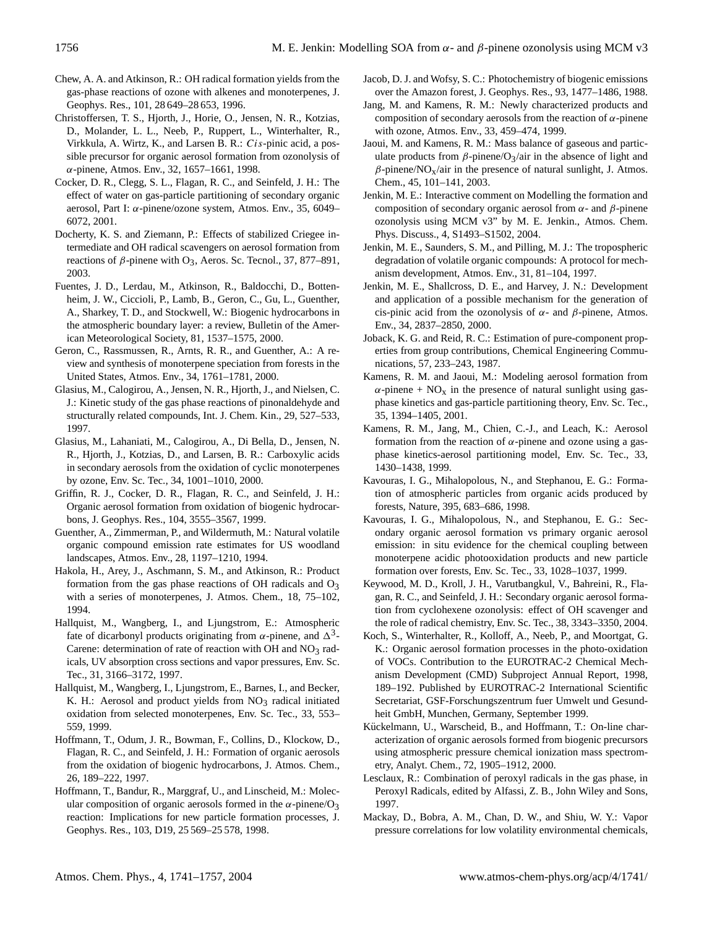- Chew, A. A. and Atkinson, R.: OH radical formation yields from the gas-phase reactions of ozone with alkenes and monoterpenes, J. Geophys. Res., 101, 28 649–28 653, 1996.
- Christoffersen, T. S., Hjorth, J., Horie, O., Jensen, N. R., Kotzias, D., Molander, L. L., Neeb, P., Ruppert, L., Winterhalter, R., Virkkula, A. Wirtz, K., and Larsen B. R.: Cis-pinic acid, a possible precursor for organic aerosol formation from ozonolysis of α-pinene, Atmos. Env., 32, 1657–1661, 1998.
- Cocker, D. R., Clegg, S. L., Flagan, R. C., and Seinfeld, J. H.: The effect of water on gas-particle partitioning of secondary organic aerosol, Part I:  $\alpha$ -pinene/ozone system, Atmos. Env., 35, 6049– 6072, 2001.
- Docherty, K. S. and Ziemann, P.: Effects of stabilized Criegee intermediate and OH radical scavengers on aerosol formation from reactions of  $\beta$ -pinene with O<sub>3</sub>, Aeros. Sc. Tecnol., 37, 877–891, 2003.
- Fuentes, J. D., Lerdau, M., Atkinson, R., Baldocchi, D., Bottenheim, J. W., Ciccioli, P., Lamb, B., Geron, C., Gu, L., Guenther, A., Sharkey, T. D., and Stockwell, W.: Biogenic hydrocarbons in the atmospheric boundary layer: a review, Bulletin of the American Meteorological Society, 81, 1537–1575, 2000.
- Geron, C., Rassmussen, R., Arnts, R. R., and Guenther, A.: A review and synthesis of monoterpene speciation from forests in the United States, Atmos. Env., 34, 1761–1781, 2000.
- Glasius, M., Calogirou, A., Jensen, N. R., Hjorth, J., and Nielsen, C. J.: Kinetic study of the gas phase reactions of pinonaldehyde and structurally related compounds, Int. J. Chem. Kin., 29, 527–533, 1997.
- Glasius, M., Lahaniati, M., Calogirou, A., Di Bella, D., Jensen, N. R., Hjorth, J., Kotzias, D., and Larsen, B. R.: Carboxylic acids in secondary aerosols from the oxidation of cyclic monoterpenes by ozone, Env. Sc. Tec., 34, 1001–1010, 2000.
- Griffin, R. J., Cocker, D. R., Flagan, R. C., and Seinfeld, J. H.: Organic aerosol formation from oxidation of biogenic hydrocarbons, J. Geophys. Res., 104, 3555–3567, 1999.
- Guenther, A., Zimmerman, P., and Wildermuth, M.: Natural volatile organic compound emission rate estimates for US woodland landscapes, Atmos. Env., 28, 1197–1210, 1994.
- Hakola, H., Arey, J., Aschmann, S. M., and Atkinson, R.: Product formation from the gas phase reactions of OH radicals and  $O_3$ with a series of monoterpenes, J. Atmos. Chem., 18, 75–102, 1994.
- Hallquist, M., Wangberg, I., and Ljungstrom, E.: Atmospheric fate of dicarbonyl products originating from  $\alpha$ -pinene, and  $\Delta^3$ -Carene: determination of rate of reaction with OH and  $NO<sub>3</sub>$  radicals, UV absorption cross sections and vapor pressures, Env. Sc. Tec., 31, 3166–3172, 1997.
- Hallquist, M., Wangberg, I., Ljungstrom, E., Barnes, I., and Becker, K. H.: Aerosol and product yields from  $NO<sub>3</sub>$  radical initiated oxidation from selected monoterpenes, Env. Sc. Tec., 33, 553– 559, 1999.
- Hoffmann, T., Odum, J. R., Bowman, F., Collins, D., Klockow, D., Flagan, R. C., and Seinfeld, J. H.: Formation of organic aerosols from the oxidation of biogenic hydrocarbons, J. Atmos. Chem., 26, 189–222, 1997.
- Hoffmann, T., Bandur, R., Marggraf, U., and Linscheid, M.: Molecular composition of organic aerosols formed in the  $\alpha$ -pinene/O<sub>3</sub> reaction: Implications for new particle formation processes, J. Geophys. Res., 103, D19, 25 569–25 578, 1998.
- Jacob, D. J. and Wofsy, S. C.: Photochemistry of biogenic emissions over the Amazon forest, J. Geophys. Res., 93, 1477–1486, 1988.
- Jang, M. and Kamens, R. M.: Newly characterized products and composition of secondary aerosols from the reaction of  $\alpha$ -pinene with ozone, Atmos. Env., 33, 459–474, 1999.
- Jaoui, M. and Kamens, R. M.: Mass balance of gaseous and particulate products from  $\beta$ -pinene/O<sub>3</sub>/air in the absence of light and  $\beta$ -pinene/NO<sub>X</sub>/air in the presence of natural sunlight, J. Atmos. Chem., 45, 101–141, 2003.
- Jenkin, M. E.: Interactive comment on Modelling the formation and composition of secondary organic aerosol from  $α$ - and  $β$ -pinene ozonolysis using MCM v3" by M. E. Jenkin., Atmos. Chem. Phys. Discuss., 4, S1493–S1502, 2004.
- Jenkin, M. E., Saunders, S. M., and Pilling, M. J.: The tropospheric degradation of volatile organic compounds: A protocol for mechanism development, Atmos. Env., 31, 81–104, 1997.
- Jenkin, M. E., Shallcross, D. E., and Harvey, J. N.: Development and application of a possible mechanism for the generation of cis-pinic acid from the ozonolysis of  $\alpha$ - and  $\beta$ -pinene, Atmos. Env., 34, 2837–2850, 2000.
- Joback, K. G. and Reid, R. C.: Estimation of pure-component properties from group contributions, Chemical Engineering Communications, 57, 233–243, 1987.
- Kamens, R. M. and Jaoui, M.: Modeling aerosol formation from  $\alpha$ -pinene + NO<sub>x</sub> in the presence of natural sunlight using gasphase kinetics and gas-particle partitioning theory, Env. Sc. Tec., 35, 1394–1405, 2001.
- Kamens, R. M., Jang, M., Chien, C.-J., and Leach, K.: Aerosol formation from the reaction of  $\alpha$ -pinene and ozone using a gasphase kinetics-aerosol partitioning model, Env. Sc. Tec., 33, 1430–1438, 1999.
- Kavouras, I. G., Mihalopolous, N., and Stephanou, E. G.: Formation of atmospheric particles from organic acids produced by forests, Nature, 395, 683–686, 1998.
- Kavouras, I. G., Mihalopolous, N., and Stephanou, E. G.: Secondary organic aerosol formation vs primary organic aerosol emission: in situ evidence for the chemical coupling between monoterpene acidic photooxidation products and new particle formation over forests, Env. Sc. Tec., 33, 1028–1037, 1999.
- Keywood, M. D., Kroll, J. H., Varutbangkul, V., Bahreini, R., Flagan, R. C., and Seinfeld, J. H.: Secondary organic aerosol formation from cyclohexene ozonolysis: effect of OH scavenger and the role of radical chemistry, Env. Sc. Tec., 38, 3343–3350, 2004.
- Koch, S., Winterhalter, R., Kolloff, A., Neeb, P., and Moortgat, G. K.: Organic aerosol formation processes in the photo-oxidation of VOCs. Contribution to the EUROTRAC-2 Chemical Mechanism Development (CMD) Subproject Annual Report, 1998, 189–192. Published by EUROTRAC-2 International Scientific Secretariat, GSF-Forschungszentrum fuer Umwelt und Gesundheit GmbH, Munchen, Germany, September 1999.
- Kückelmann, U., Warscheid, B., and Hoffmann, T.: On-line characterization of organic aerosols formed from biogenic precursors using atmospheric pressure chemical ionization mass spectrometry, Analyt. Chem., 72, 1905–1912, 2000.
- Lesclaux, R.: Combination of peroxyl radicals in the gas phase, in Peroxyl Radicals, edited by Alfassi, Z. B., John Wiley and Sons, 1997.
- Mackay, D., Bobra, A. M., Chan, D. W., and Shiu, W. Y.: Vapor pressure correlations for low volatility environmental chemicals,